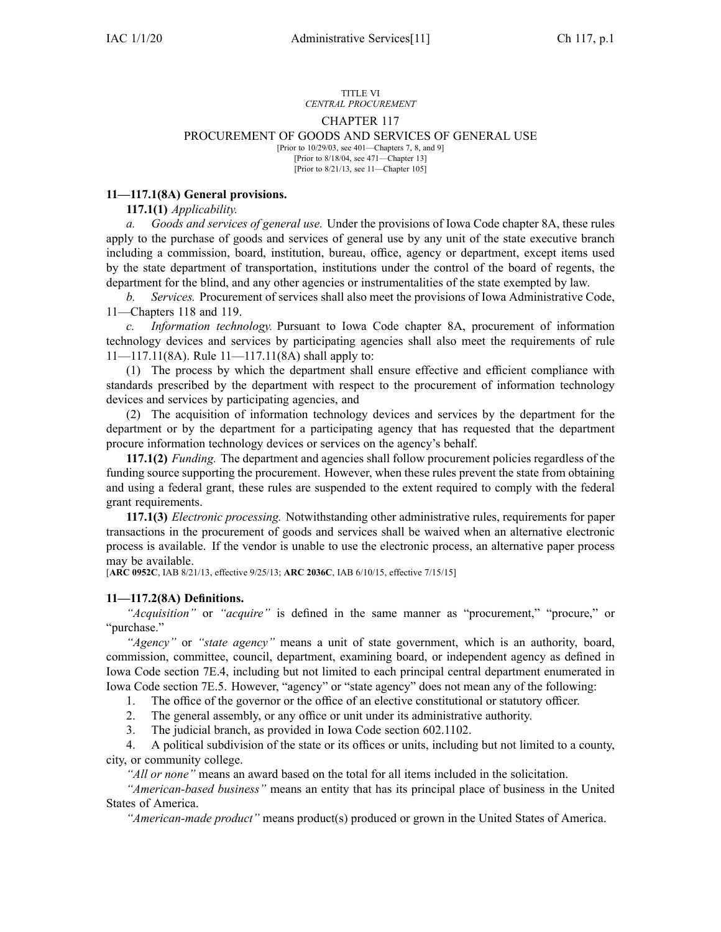#### TITLE VI *CENTRAL PROCUREMENT*

### CHAPTER 117

#### PROCUREMENT OF GOODS AND SERVICES OF GENERAL USE

[Prior to 10/29/03, see 401—Chapters 7, 8, and 9] [Prior to 8/18/04, see 471—Chapter 13] [Prior to 8/21/13, see 11—Chapter 105]

### **11—117.1(8A) General provisions.**

**117.1(1)** *Applicability.*

*a. Goods and services of general use.* Under the provisions of Iowa Code chapter [8A](https://www.legis.iowa.gov/docs/ico/chapter/8A.pdf), these rules apply to the purchase of goods and services of general use by any unit of the state executive branch including <sup>a</sup> commission, board, institution, bureau, office, agency or department, excep<sup>t</sup> items used by the state department of transportation, institutions under the control of the board of regents, the department for the blind, and any other agencies or instrumentalities of the state exempted by law.

*b. Services.* Procurement of services shall also meet the provisions of Iowa Administrative Code, [11—Chapters](https://www.legis.iowa.gov/docs/iac/chapter/11.118.pdf) 118 and [119](https://www.legis.iowa.gov/docs/iac/chapter/11.119.pdf).

*c. Information technology.* Pursuant to Iowa Code chapter [8A](https://www.legis.iowa.gov/docs/ico/chapter/8A.pdf), procuremen<sup>t</sup> of information technology devices and services by participating agencies shall also meet the requirements of rule [11—117.11](https://www.legis.iowa.gov/docs/iac/rule/11.117.11.pdf)(8A). Rule [11—117.11](https://www.legis.iowa.gov/docs/iac/rule/11.117.11.pdf)(8A) shall apply to:

(1) The process by which the department shall ensure effective and efficient compliance with standards prescribed by the department with respec<sup>t</sup> to the procuremen<sup>t</sup> of information technology devices and services by participating agencies, and

(2) The acquisition of information technology devices and services by the department for the department or by the department for <sup>a</sup> participating agency that has requested that the department procure information technology devices or services on the agency's behalf.

**117.1(2)** *Funding.* The department and agencies shall follow procuremen<sup>t</sup> policies regardless of the funding source supporting the procurement. However, when these rules preven<sup>t</sup> the state from obtaining and using <sup>a</sup> federal grant, these rules are suspended to the extent required to comply with the federal gran<sup>t</sup> requirements.

**117.1(3)** *Electronic processing.* Notwithstanding other administrative rules, requirements for paper transactions in the procuremen<sup>t</sup> of goods and services shall be waived when an alternative electronic process is available. If the vendor is unable to use the electronic process, an alternative paper process may be available.

[**ARC [0952C](https://www.legis.iowa.gov/docs/aco/arc/0952C.pdf)**, IAB 8/21/13, effective 9/25/13; **ARC [2036C](https://www.legis.iowa.gov/docs/aco/arc/2036C.pdf)**, IAB 6/10/15, effective 7/15/15]

# **11—117.2(8A) Definitions.**

"Acquisition" or "acquire" is defined in the same manner as "procurement," "procure," or "purchase."

*"Agency"* or *"state agency"* means <sup>a</sup> unit of state government, which is an authority, board, commission, committee, council, department, examining board, or independent agency as defined in Iowa Code section [7E.4](https://www.legis.iowa.gov/docs/ico/section/7E.4.pdf), including but not limited to each principal central department enumerated in Iowa Code section [7E.5](https://www.legis.iowa.gov/docs/ico/section/7E.5.pdf). However, "agency" or "state agency" does not mean any of the following:

1. The office of the governor or the office of an elective constitutional or statutory officer.

2. The general assembly, or any office or unit under its administrative authority.

3. The judicial branch, as provided in Iowa Code section [602.1102](https://www.legis.iowa.gov/docs/ico/section/602.1102.pdf).

4. A political subdivision of the state or its offices or units, including but not limited to <sup>a</sup> county, city, or community college.

*"All or none"* means an award based on the total for all items included in the solicitation.

*"American-based business"* means an entity that has its principal place of business in the United States of America.

*"American-made product"* means product(s) produced or grown in the United States of America.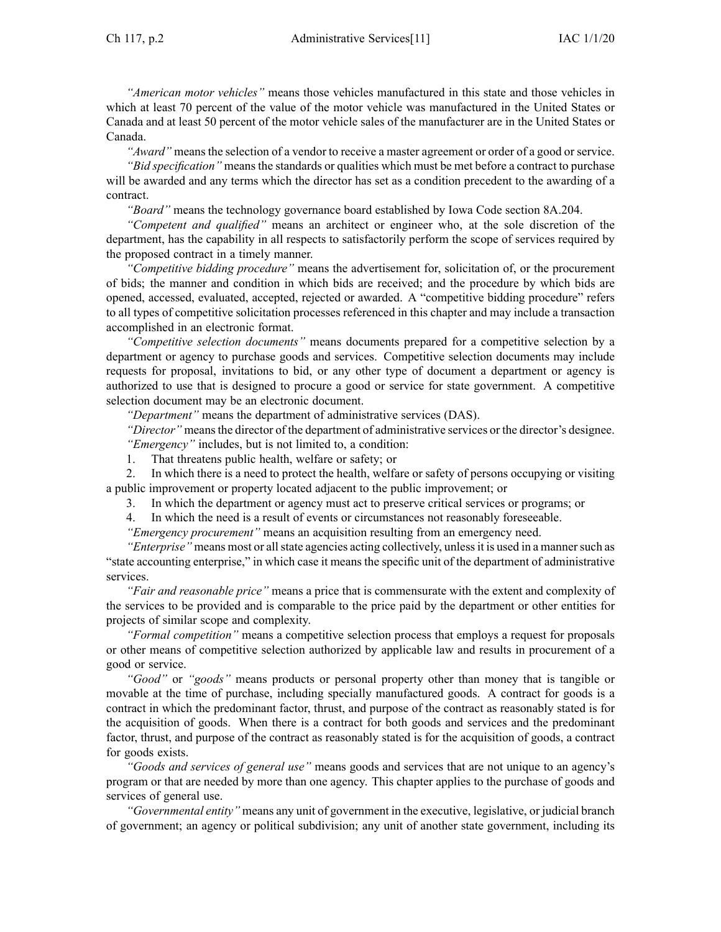*"American motor vehicles"* means those vehicles manufactured in this state and those vehicles in which at least 70 percen<sup>t</sup> of the value of the motor vehicle was manufactured in the United States or Canada and at least 50 percen<sup>t</sup> of the motor vehicle sales of the manufacturer are in the United States or Canada.

*"Award"* means the selection of <sup>a</sup> vendor to receive <sup>a</sup> master agreemen<sup>t</sup> or order of <sup>a</sup> good or service.

*"Bid specification"* means the standards or qualities which must be met before <sup>a</sup> contract to purchase will be awarded and any terms which the director has set as <sup>a</sup> condition precedent to the awarding of <sup>a</sup> contract.

*"Board"* means the technology governance board established by Iowa Code section [8A.204](https://www.legis.iowa.gov/docs/ico/section/8A.204.pdf).

*"Competent and qualified"* means an architect or engineer who, at the sole discretion of the department, has the capability in all respects to satisfactorily perform the scope of services required by the proposed contract in <sup>a</sup> timely manner.

*"Competitive bidding procedure"* means the advertisement for, solicitation of, or the procuremen<sup>t</sup> of bids; the manner and condition in which bids are received; and the procedure by which bids are opened, accessed, evaluated, accepted, rejected or awarded. A "competitive bidding procedure" refers to all types of competitive solicitation processes referenced in this chapter and may include <sup>a</sup> transaction accomplished in an electronic format.

*"Competitive selection documents"* means documents prepared for <sup>a</sup> competitive selection by <sup>a</sup> department or agency to purchase goods and services. Competitive selection documents may include requests for proposal, invitations to bid, or any other type of document <sup>a</sup> department or agency is authorized to use that is designed to procure <sup>a</sup> good or service for state government. A competitive selection document may be an electronic document.

*"Department"* means the department of administrative services (DAS).

*"Director"* means the director of the department of administrative services or the director's designee. *"Emergency"* includes, but is not limited to, <sup>a</sup> condition:

1. That threatens public health, welfare or safety; or

2. In which there is <sup>a</sup> need to protect the health, welfare or safety of persons occupying or visiting <sup>a</sup> public improvement or property located adjacent to the public improvement; or

3. In which the department or agency must act to preserve critical services or programs; or

4. In which the need is <sup>a</sup> result of events or circumstances not reasonably foreseeable.

*"Emergency procurement"* means an acquisition resulting from an emergency need.

*"Enterprise"* means most or allstate agencies acting collectively, unlessit is used in <sup>a</sup> mannersuch as "state accounting enterprise," in which case it means the specific unit of the department of administrative services.

*"Fair and reasonable price"* means <sup>a</sup> price that is commensurate with the extent and complexity of the services to be provided and is comparable to the price paid by the department or other entities for projects of similar scope and complexity.

*"Formal competition"* means <sup>a</sup> competitive selection process that employs <sup>a</sup> reques<sup>t</sup> for proposals or other means of competitive selection authorized by applicable law and results in procuremen<sup>t</sup> of <sup>a</sup> good or service.

*"Good"* or *"goods"* means products or personal property other than money that is tangible or movable at the time of purchase, including specially manufactured goods. A contract for goods is <sup>a</sup> contract in which the predominant factor, thrust, and purpose of the contract as reasonably stated is for the acquisition of goods. When there is <sup>a</sup> contract for both goods and services and the predominant factor, thrust, and purpose of the contract as reasonably stated is for the acquisition of goods, <sup>a</sup> contract for goods exists.

*"Goods and services of general use"* means goods and services that are not unique to an agency's program or that are needed by more than one agency. This chapter applies to the purchase of goods and services of general use.

*"Governmental entity"* means any unit of governmen<sup>t</sup> in the executive, legislative, or judicial branch of government; an agency or political subdivision; any unit of another state government, including its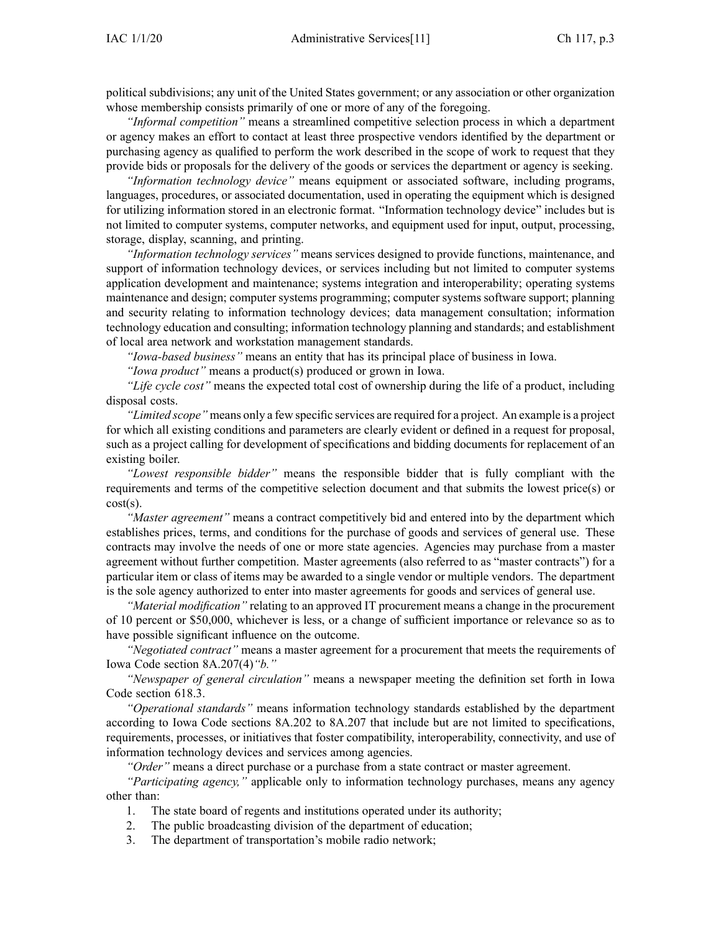political subdivisions; any unit of the United States government; or any association or other organization whose membership consists primarily of one or more of any of the foregoing.

*"Informal competition"* means <sup>a</sup> streamlined competitive selection process in which <sup>a</sup> department or agency makes an effort to contact at least three prospective vendors identified by the department or purchasing agency as qualified to perform the work described in the scope of work to reques<sup>t</sup> that they provide bids or proposals for the delivery of the goods or services the department or agency is seeking.

*"Information technology device"* means equipment or associated software, including programs, languages, procedures, or associated documentation, used in operating the equipment which is designed for utilizing information stored in an electronic format. "Information technology device" includes but is not limited to computer systems, computer networks, and equipment used for input, output, processing, storage, display, scanning, and printing.

*"Information technology services"* means services designed to provide functions, maintenance, and suppor<sup>t</sup> of information technology devices, or services including but not limited to computer systems application development and maintenance; systems integration and interoperability; operating systems maintenance and design; computer systems programming; computer systems software support; planning and security relating to information technology devices; data managemen<sup>t</sup> consultation; information technology education and consulting; information technology planning and standards; and establishment of local area network and workstation managemen<sup>t</sup> standards.

*"Iowa-based business"* means an entity that has its principal place of business in Iowa.

*"Iowa product"* means <sup>a</sup> product(s) produced or grown in Iowa.

*"Life cycle cost"* means the expected total cost of ownership during the life of <sup>a</sup> product, including disposal costs.

*"Limited scope"* means only <sup>a</sup> few specific services are required for <sup>a</sup> project. An example is <sup>a</sup> project for which all existing conditions and parameters are clearly evident or defined in <sup>a</sup> reques<sup>t</sup> for proposal, such as <sup>a</sup> project calling for development of specifications and bidding documents for replacement of an existing boiler.

*"Lowest responsible bidder"* means the responsible bidder that is fully compliant with the requirements and terms of the competitive selection document and that submits the lowest price(s) or  $cost(s)$ .

*"Master agreement"* means <sup>a</sup> contract competitively bid and entered into by the department which establishes prices, terms, and conditions for the purchase of goods and services of general use. These contracts may involve the needs of one or more state agencies. Agencies may purchase from <sup>a</sup> master agreemen<sup>t</sup> without further competition. Master agreements (also referred to as "master contracts") for <sup>a</sup> particular item or class of items may be awarded to <sup>a</sup> single vendor or multiple vendors. The department is the sole agency authorized to enter into master agreements for goods and services of general use.

*"Material modification"* relating to an approved IT procuremen<sup>t</sup> means <sup>a</sup> change in the procuremen<sup>t</sup> of 10 percen<sup>t</sup> or \$50,000, whichever is less, or <sup>a</sup> change of sufficient importance or relevance so as to have possible significant influence on the outcome.

*"Negotiated contract"* means <sup>a</sup> master agreemen<sup>t</sup> for <sup>a</sup> procuremen<sup>t</sup> that meets the requirements of Iowa Code section [8A.207\(4\)](https://www.legis.iowa.gov/docs/ico/section/8A.207.pdf)*"b."*

*"Newspaper of general circulation"* means <sup>a</sup> newspaper meeting the definition set forth in Iowa Code section [618.3](https://www.legis.iowa.gov/docs/ico/section/618.3.pdf).

*"Operational standards"* means information technology standards established by the department according to Iowa Code sections [8A.202](https://www.legis.iowa.gov/docs/ico/section/8A.202-207.pdf) to 8A.207 that include but are not limited to specifications, requirements, processes, or initiatives that foster compatibility, interoperability, connectivity, and use of information technology devices and services among agencies.

*"Order"* means <sup>a</sup> direct purchase or <sup>a</sup> purchase from <sup>a</sup> state contract or master agreement.

*"Participating agency,"* applicable only to information technology purchases, means any agency other than:

- 1. The state board of regents and institutions operated under its authority;
- 2. The public broadcasting division of the department of education;
- 3. The department of transportation's mobile radio network;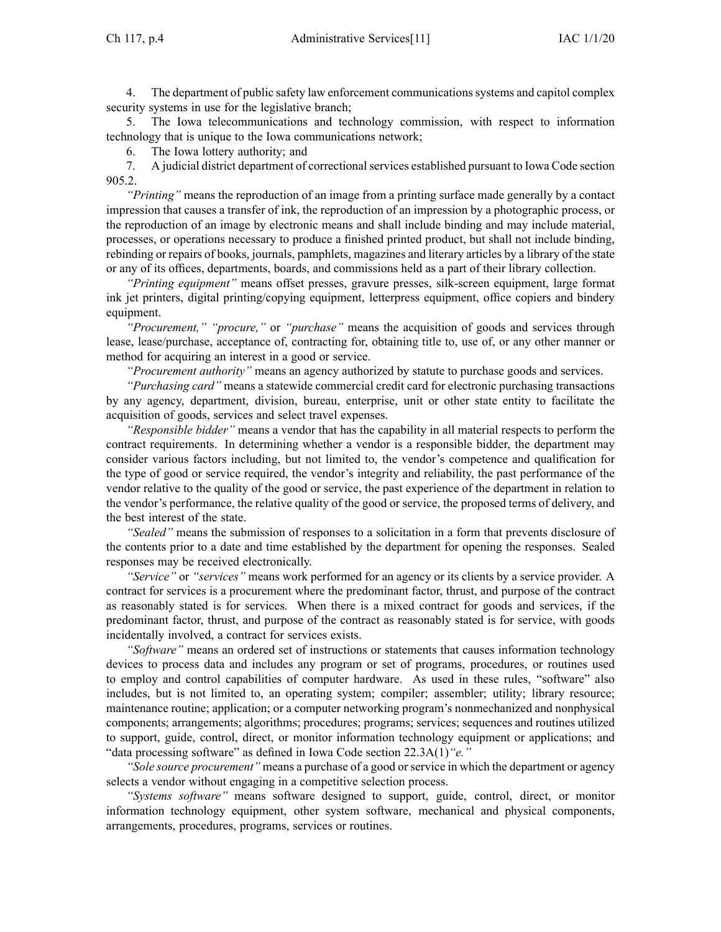4. The department of public safety law enforcement communicationssystems and capitol complex security systems in use for the legislative branch;

5. The Iowa telecommunications and technology commission, with respec<sup>t</sup> to information technology that is unique to the Iowa communications network;

6. The Iowa lottery authority; and

7. A judicial district department of correctional services established pursuant to Iowa Code section [905.2](https://www.legis.iowa.gov/docs/ico/section/905.2.pdf).

*"Printing"* means the reproduction of an image from <sup>a</sup> printing surface made generally by <sup>a</sup> contact impression that causes <sup>a</sup> transfer of ink, the reproduction of an impression by <sup>a</sup> photographic process, or the reproduction of an image by electronic means and shall include binding and may include material, processes, or operations necessary to produce <sup>a</sup> finished printed product, but shall not include binding, rebinding or repairs of books, journals, pamphlets, magazines and literary articles by <sup>a</sup> library of the state or any of its offices, departments, boards, and commissions held as <sup>a</sup> par<sup>t</sup> of their library collection.

*"Printing equipment"* means offset presses, gravure presses, silk-screen equipment, large format ink jet printers, digital printing/copying equipment, letterpress equipment, office copiers and bindery equipment.

*"Procurement," "procure,"* or *"purchase"* means the acquisition of goods and services through lease, lease/purchase, acceptance of, contracting for, obtaining title to, use of, or any other manner or method for acquiring an interest in <sup>a</sup> good or service.

*"Procurement authority"* means an agency authorized by statute to purchase goods and services.

*"Purchasing card"* means <sup>a</sup> statewide commercial credit card for electronic purchasing transactions by any agency, department, division, bureau, enterprise, unit or other state entity to facilitate the acquisition of goods, services and select travel expenses.

*"Responsible bidder"* means <sup>a</sup> vendor that has the capability in all material respects to perform the contract requirements. In determining whether <sup>a</sup> vendor is <sup>a</sup> responsible bidder, the department may consider various factors including, but not limited to, the vendor's competence and qualification for the type of good or service required, the vendor's integrity and reliability, the pas<sup>t</sup> performance of the vendor relative to the quality of the good or service, the pas<sup>t</sup> experience of the department in relation to the vendor's performance, the relative quality of the good or service, the proposed terms of delivery, and the best interest of the state.

*"Sealed"* means the submission of responses to <sup>a</sup> solicitation in <sup>a</sup> form that prevents disclosure of the contents prior to <sup>a</sup> date and time established by the department for opening the responses. Sealed responses may be received electronically.

*"Service"* or *"services"* means work performed for an agency or its clients by <sup>a</sup> service provider. A contract for services is <sup>a</sup> procuremen<sup>t</sup> where the predominant factor, thrust, and purpose of the contract as reasonably stated is for services. When there is <sup>a</sup> mixed contract for goods and services, if the predominant factor, thrust, and purpose of the contract as reasonably stated is for service, with goods incidentally involved, <sup>a</sup> contract for services exists.

*"Software"* means an ordered set of instructions or statements that causes information technology devices to process data and includes any program or set of programs, procedures, or routines used to employ and control capabilities of computer hardware. As used in these rules, "software" also includes, but is not limited to, an operating system; compiler; assembler; utility; library resource; maintenance routine; application; or <sup>a</sup> computer networking program's nonmechanized and nonphysical components; arrangements; algorithms; procedures; programs; services; sequences and routines utilized to support, guide, control, direct, or monitor information technology equipment or applications; and "data processing software" as defined in Iowa Code section [22.3A\(1\)](https://www.legis.iowa.gov/docs/ico/section/22.3A.pdf)*"e."*

*"Sole source procurement*" means a purchase of a good or service in which the department or agency selects <sup>a</sup> vendor without engaging in <sup>a</sup> competitive selection process.

*"Systems software"* means software designed to support, guide, control, direct, or monitor information technology equipment, other system software, mechanical and physical components, arrangements, procedures, programs, services or routines.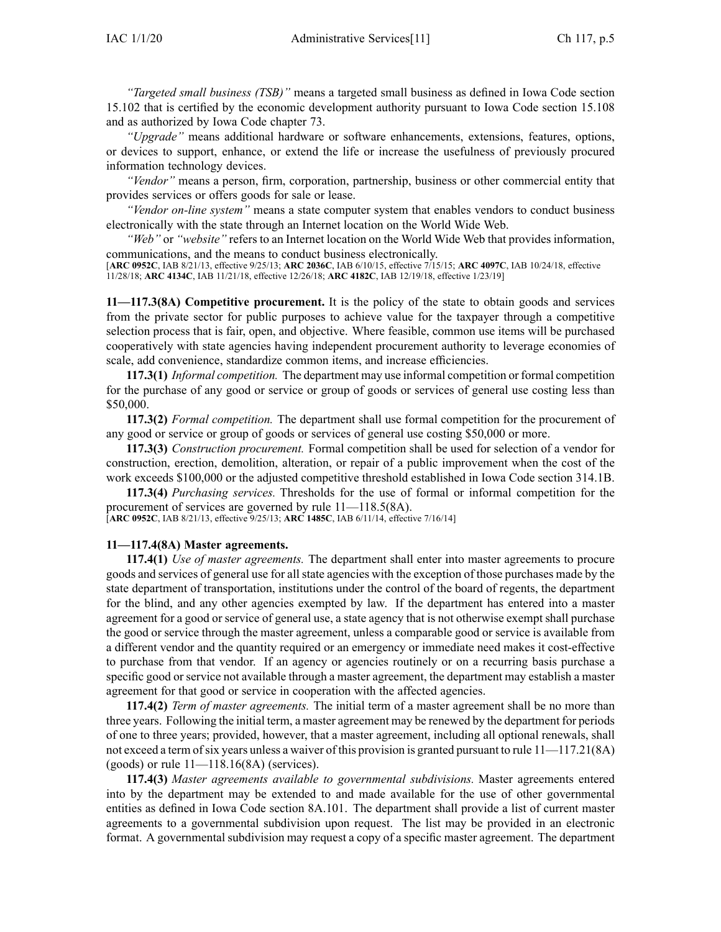*"Targeted small business (TSB)"* means <sup>a</sup> targeted small business as defined in Iowa Code section [15.102](https://www.legis.iowa.gov/docs/ico/section/15.102.pdf) that is certified by the economic development authority pursuan<sup>t</sup> to Iowa Code section [15.108](https://www.legis.iowa.gov/docs/ico/section/2018/15.108.pdf) and as authorized by Iowa Code chapter [73](https://www.legis.iowa.gov/docs/ico/chapter/73.pdf).

*"Upgrade"* means additional hardware or software enhancements, extensions, features, options, or devices to support, enhance, or extend the life or increase the usefulness of previously procured information technology devices.

*"Vendor"* means <sup>a</sup> person, firm, corporation, partnership, business or other commercial entity that provides services or offers goods for sale or lease.

*"Vendor on-line system"* means <sup>a</sup> state computer system that enables vendors to conduct business electronically with the state through an Internet location on the World Wide Web.

*"Web"* or *"website"* refers to an Internet location on the World Wide Web that provides information, communications, and the means to conduct business electronically.

[**ARC [0952C](https://www.legis.iowa.gov/docs/aco/arc/0952C.pdf)**, IAB 8/21/13, effective 9/25/13; **ARC [2036C](https://www.legis.iowa.gov/docs/aco/arc/2036C.pdf)**, IAB 6/10/15, effective 7/15/15; **ARC [4097C](https://www.legis.iowa.gov/docs/aco/arc/4097C.pdf)**, IAB 10/24/18, effective 11/28/18; **ARC [4134C](https://www.legis.iowa.gov/docs/aco/arc/4134C.pdf)**, IAB 11/21/18, effective 12/26/18; **ARC [4182C](https://www.legis.iowa.gov/docs/aco/arc/4182C.pdf)**, IAB 12/19/18, effective 1/23/19]

**11—117.3(8A) Competitive procurement.** It is the policy of the state to obtain goods and services from the private sector for public purposes to achieve value for the taxpayer through <sup>a</sup> competitive selection process that is fair, open, and objective. Where feasible, common use items will be purchased cooperatively with state agencies having independent procuremen<sup>t</sup> authority to leverage economies of scale, add convenience, standardize common items, and increase efficiencies.

**117.3(1)** *Informal competition.* The department may use informal competition or formal competition for the purchase of any good or service or group of goods or services of general use costing less than \$50,000.

**117.3(2)** *Formal competition.* The department shall use formal competition for the procuremen<sup>t</sup> of any good or service or group of goods or services of general use costing \$50,000 or more.

**117.3(3)** *Construction procurement.* Formal competition shall be used for selection of <sup>a</sup> vendor for construction, erection, demolition, alteration, or repair of <sup>a</sup> public improvement when the cost of the work exceeds \$100,000 or the adjusted competitive threshold established in Iowa Code section [314.1B](https://www.legis.iowa.gov/docs/ico/section/314.1B.pdf).

**117.3(4)** *Purchasing services.* Thresholds for the use of formal or informal competition for the procuremen<sup>t</sup> of services are governed by rule [11—118.5](https://www.legis.iowa.gov/docs/iac/rule/11.118.5.pdf)(8A).

[**ARC [0952C](https://www.legis.iowa.gov/docs/aco/arc/0952C.pdf)**, IAB 8/21/13, effective 9/25/13; **ARC [1485C](https://www.legis.iowa.gov/docs/aco/arc/1485C.pdf)**, IAB 6/11/14, effective 7/16/14]

#### **11—117.4(8A) Master agreements.**

**117.4(1)** *Use of master agreements.* The department shall enter into master agreements to procure goods and services of general use for all state agencies with the exception of those purchases made by the state department of transportation, institutions under the control of the board of regents, the department for the blind, and any other agencies exempted by law. If the department has entered into <sup>a</sup> master agreemen<sup>t</sup> for <sup>a</sup> good or service of general use, <sup>a</sup> state agency that is not otherwise exemp<sup>t</sup> shall purchase the good or service through the master agreement, unless <sup>a</sup> comparable good or service is available from <sup>a</sup> different vendor and the quantity required or an emergency or immediate need makes it cost-effective to purchase from that vendor. If an agency or agencies routinely or on <sup>a</sup> recurring basis purchase <sup>a</sup> specific good or service not available through <sup>a</sup> master agreement, the department may establish <sup>a</sup> master agreemen<sup>t</sup> for that good or service in cooperation with the affected agencies.

**117.4(2)** *Term of master agreements.* The initial term of <sup>a</sup> master agreemen<sup>t</sup> shall be no more than three years. Following the initial term, <sup>a</sup> master agreemen<sup>t</sup> may be renewed by the department for periods of one to three years; provided, however, that <sup>a</sup> master agreement, including all optional renewals, shall not exceed a term of six years unless a waiver of this provision is granted pursuant to rule [11—117.21\(](https://www.legis.iowa.gov/docs/iac/rule/11.117.21.pdf)8A) (goods) or rule  $11-118.16(8A)$  (services).

**117.4(3)** *Master agreements available to governmental subdivisions.* Master agreements entered into by the department may be extended to and made available for the use of other governmental entities as defined in Iowa Code section [8A.101](https://www.legis.iowa.gov/docs/ico/section/8A.101.pdf). The department shall provide <sup>a</sup> list of current master agreements to <sup>a</sup> governmental subdivision upon request. The list may be provided in an electronic format. A governmental subdivision may reques<sup>t</sup> <sup>a</sup> copy of <sup>a</sup> specific master agreement. The department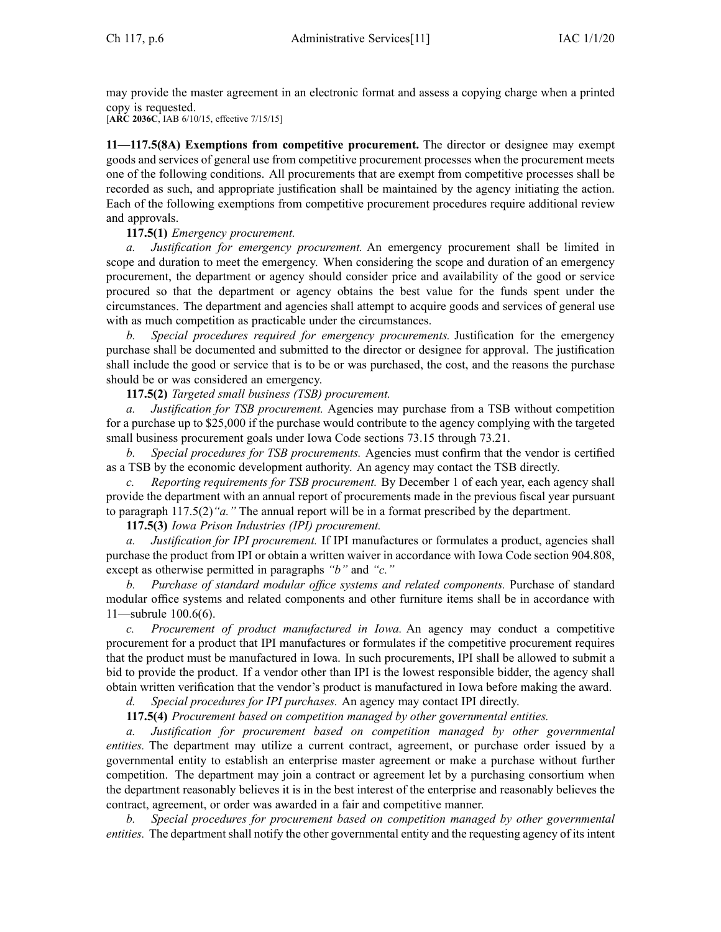may provide the master agreemen<sup>t</sup> in an electronic format and assess <sup>a</sup> copying charge when <sup>a</sup> printed copy is requested.

[**ARC [2036C](https://www.legis.iowa.gov/docs/aco/arc/2036C.pdf)**, IAB 6/10/15, effective 7/15/15]

**11—117.5(8A) Exemptions from competitive procurement.** The director or designee may exemp<sup>t</sup> goods and services of general use from competitive procuremen<sup>t</sup> processes when the procuremen<sup>t</sup> meets one of the following conditions. All procurements that are exemp<sup>t</sup> from competitive processes shall be recorded as such, and appropriate justification shall be maintained by the agency initiating the action. Each of the following exemptions from competitive procuremen<sup>t</sup> procedures require additional review and approvals.

# **117.5(1)** *Emergency procurement.*

*a. Justification for emergency procurement.* An emergency procuremen<sup>t</sup> shall be limited in scope and duration to meet the emergency. When considering the scope and duration of an emergency procurement, the department or agency should consider price and availability of the good or service procured so that the department or agency obtains the best value for the funds spen<sup>t</sup> under the circumstances. The department and agencies shall attempt to acquire goods and services of general use with as much competition as practicable under the circumstances.

*b. Special procedures required for emergency procurements.* Justification for the emergency purchase shall be documented and submitted to the director or designee for approval. The justification shall include the good or service that is to be or was purchased, the cost, and the reasons the purchase should be or was considered an emergency.

**117.5(2)** *Targeted small business (TSB) procurement.*

*a. Justification for TSB procurement.* Agencies may purchase from <sup>a</sup> TSB without competition for <sup>a</sup> purchase up to \$25,000 if the purchase would contribute to the agency complying with the targeted small business procuremen<sup>t</sup> goals under Iowa Code sections 73.15 [through](https://www.legis.iowa.gov/docs/ico/section/73.15-21.pdf) 73.21.

*b. Special procedures for TSB procurements.* Agencies must confirm that the vendor is certified as <sup>a</sup> TSB by the economic development authority. An agency may contact the TSB directly.

*c. Reporting requirements for TSB procurement.* By December 1 of each year, each agency shall provide the department with an annual repor<sup>t</sup> of procurements made in the previous fiscal year pursuan<sup>t</sup> to paragraph [117.5\(2\)](https://www.legis.iowa.gov/docs/iac/rule/11.117.5.pdf)*"a."* The annual repor<sup>t</sup> will be in <sup>a</sup> format prescribed by the department.

**117.5(3)** *Iowa Prison Industries (IPI) procurement.*

*a. Justification for IPI procurement.* If IPI manufactures or formulates <sup>a</sup> product, agencies shall purchase the product from IPI or obtain <sup>a</sup> written waiver in accordance with Iowa Code section [904.808](https://www.legis.iowa.gov/docs/ico/section/904.808.pdf), excep<sup>t</sup> as otherwise permitted in paragraphs *"b"* and *"c."*

*b. Purchase of standard modular office systems and related components.* Purchase of standard modular office systems and related components and other furniture items shall be in accordance with [11—subrule](https://www.legis.iowa.gov/docs/iac/rule/11.100.6.pdf) 100.6(6).

*c. Procurement of product manufactured in Iowa.* An agency may conduct <sup>a</sup> competitive procuremen<sup>t</sup> for <sup>a</sup> product that IPI manufactures or formulates if the competitive procuremen<sup>t</sup> requires that the product must be manufactured in Iowa. In such procurements, IPI shall be allowed to submit <sup>a</sup> bid to provide the product. If <sup>a</sup> vendor other than IPI is the lowest responsible bidder, the agency shall obtain written verification that the vendor's product is manufactured in Iowa before making the award.

*d. Special procedures for IPI purchases.* An agency may contact IPI directly.

**117.5(4)** *Procurement based on competition managed by other governmental entities.*

*a. Justification for procuremen<sup>t</sup> based on competition managed by other governmental entities.* The department may utilize <sup>a</sup> current contract, agreement, or purchase order issued by <sup>a</sup> governmental entity to establish an enterprise master agreemen<sup>t</sup> or make <sup>a</sup> purchase without further competition. The department may join <sup>a</sup> contract or agreemen<sup>t</sup> let by <sup>a</sup> purchasing consortium when the department reasonably believes it is in the best interest of the enterprise and reasonably believes the contract, agreement, or order was awarded in <sup>a</sup> fair and competitive manner.

*b. Special procedures for procuremen<sup>t</sup> based on competition managed by other governmental entities*. The department shall notify the other governmental entity and the requesting agency of its intent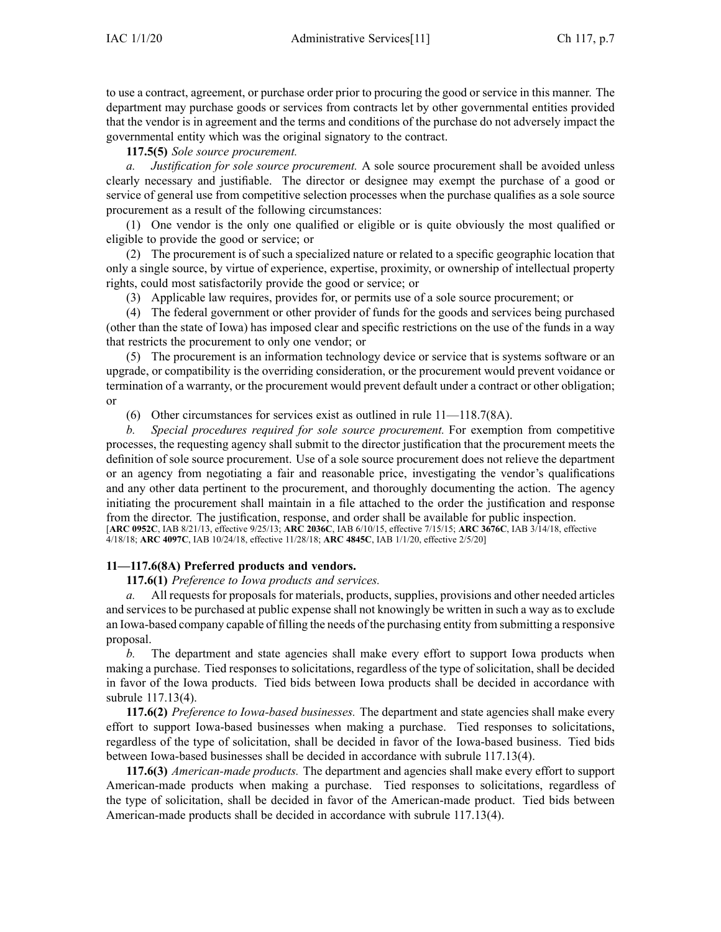to use <sup>a</sup> contract, agreement, or purchase order prior to procuring the good or service in this manner. The department may purchase goods or services from contracts let by other governmental entities provided that the vendor is in agreemen<sup>t</sup> and the terms and conditions of the purchase do not adversely impact the governmental entity which was the original signatory to the contract.

**117.5(5)** *Sole source procurement.*

*a. Justification for sole source procurement.* A sole source procuremen<sup>t</sup> shall be avoided unless clearly necessary and justifiable. The director or designee may exemp<sup>t</sup> the purchase of <sup>a</sup> good or service of general use from competitive selection processes when the purchase qualifies as <sup>a</sup> sole source procuremen<sup>t</sup> as <sup>a</sup> result of the following circumstances:

(1) One vendor is the only one qualified or eligible or is quite obviously the most qualified or eligible to provide the good or service; or

(2) The procuremen<sup>t</sup> is of such <sup>a</sup> specialized nature or related to <sup>a</sup> specific geographic location that only <sup>a</sup> single source, by virtue of experience, expertise, proximity, or ownership of intellectual property rights, could most satisfactorily provide the good or service; or

(3) Applicable law requires, provides for, or permits use of <sup>a</sup> sole source procurement; or

(4) The federal governmen<sup>t</sup> or other provider of funds for the goods and services being purchased (other than the state of Iowa) has imposed clear and specific restrictions on the use of the funds in <sup>a</sup> way that restricts the procuremen<sup>t</sup> to only one vendor; or

(5) The procuremen<sup>t</sup> is an information technology device or service that is systems software or an upgrade, or compatibility is the overriding consideration, or the procuremen<sup>t</sup> would preven<sup>t</sup> voidance or termination of <sup>a</sup> warranty, or the procuremen<sup>t</sup> would preven<sup>t</sup> default under <sup>a</sup> contract or other obligation; or

(6) Other circumstances for services exist as outlined in rule [11—118.7](https://www.legis.iowa.gov/docs/iac/rule/11.118.7.pdf)(8A).

*b. Special procedures required for sole source procurement.* For exemption from competitive processes, the requesting agency shall submit to the director justification that the procuremen<sup>t</sup> meets the definition of sole source procurement. Use of <sup>a</sup> sole source procuremen<sup>t</sup> does not relieve the department or an agency from negotiating <sup>a</sup> fair and reasonable price, investigating the vendor's qualifications and any other data pertinent to the procurement, and thoroughly documenting the action. The agency initiating the procuremen<sup>t</sup> shall maintain in <sup>a</sup> file attached to the order the justification and response from the director. The justification, response, and order shall be available for public inspection. [**ARC [0952C](https://www.legis.iowa.gov/docs/aco/arc/0952C.pdf)**, IAB 8/21/13, effective 9/25/13; **ARC [2036C](https://www.legis.iowa.gov/docs/aco/arc/2036C.pdf)**, IAB 6/10/15, effective 7/15/15; **ARC [3676C](https://www.legis.iowa.gov/docs/aco/arc/3676C.pdf)**, IAB 3/14/18, effective 4/18/18; **ARC [4097C](https://www.legis.iowa.gov/docs/aco/arc/4097C.pdf)**, IAB 10/24/18, effective 11/28/18; **ARC [4845C](https://www.legis.iowa.gov/docs/aco/arc/4845C.pdf)**, IAB 1/1/20, effective 2/5/20]

# **11—117.6(8A) Preferred products and vendors.**

**117.6(1)** *Preference to Iowa products and services.*

*a.* All requests for proposals for materials, products, supplies, provisions and other needed articles and services to be purchased at public expense shall not knowingly be written in such <sup>a</sup> way as to exclude an Iowa-based company capable of filling the needs of the purchasing entity from submitting <sup>a</sup> responsive proposal.

*b.* The department and state agencies shall make every effort to suppor<sup>t</sup> Iowa products when making <sup>a</sup> purchase. Tied responses to solicitations, regardless of the type of solicitation, shall be decided in favor of the Iowa products. Tied bids between Iowa products shall be decided in accordance with subrule [117.13\(4\)](https://www.legis.iowa.gov/docs/iac/rule/11.117.13.pdf).

**117.6(2)** *Preference to Iowa-based businesses.* The department and state agencies shall make every effort to suppor<sup>t</sup> Iowa-based businesses when making <sup>a</sup> purchase. Tied responses to solicitations, regardless of the type of solicitation, shall be decided in favor of the Iowa-based business. Tied bids between Iowa-based businesses shall be decided in accordance with subrule [117.13\(4\)](https://www.legis.iowa.gov/docs/iac/rule/11.117.13.pdf).

**117.6(3)** *American-made products.* The department and agencies shall make every effort to suppor<sup>t</sup> American-made products when making <sup>a</sup> purchase. Tied responses to solicitations, regardless of the type of solicitation, shall be decided in favor of the American-made product. Tied bids between American-made products shall be decided in accordance with subrule [117.13\(4\)](https://www.legis.iowa.gov/docs/iac/rule/11.117.13.pdf).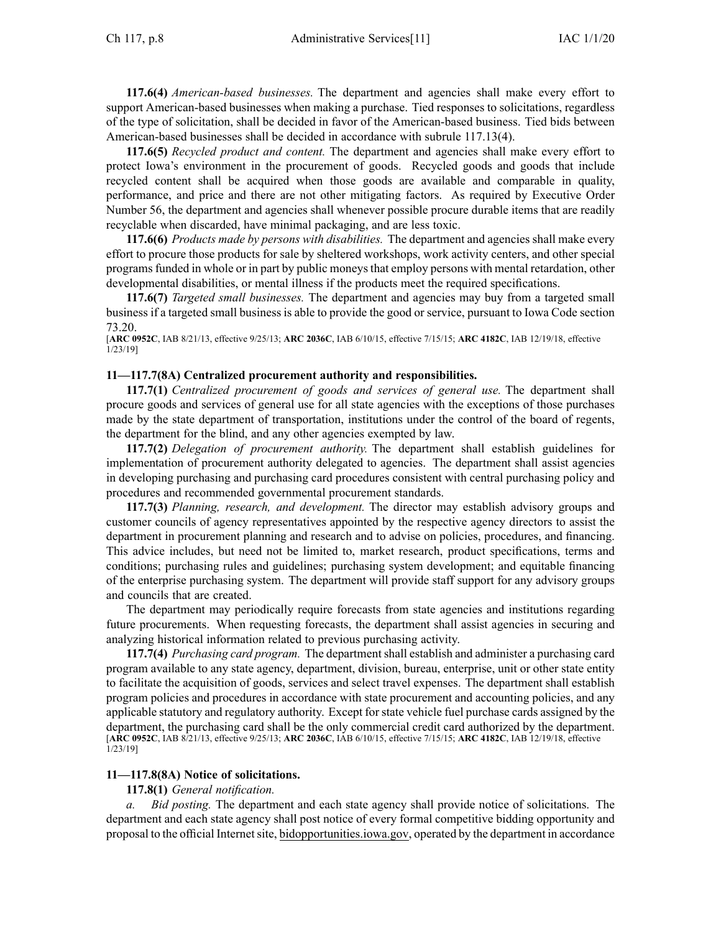**117.6(4)** *American-based businesses.* The department and agencies shall make every effort to suppor<sup>t</sup> American-based businesses when making <sup>a</sup> purchase. Tied responses to solicitations, regardless of the type of solicitation, shall be decided in favor of the American-based business. Tied bids between American-based businesses shall be decided in accordance with subrule [117.13\(4\)](https://www.legis.iowa.gov/docs/iac/rule/11.117.13.pdf).

**117.6(5)** *Recycled product and content.* The department and agencies shall make every effort to protect Iowa's environment in the procuremen<sup>t</sup> of goods. Recycled goods and goods that include recycled content shall be acquired when those goods are available and comparable in quality, performance, and price and there are not other mitigating factors. As required by Executive Order Number 56, the department and agencies shall whenever possible procure durable items that are readily recyclable when discarded, have minimal packaging, and are less toxic.

**117.6(6)** *Products made by persons with disabilities.* The department and agencies shall make every effort to procure those products for sale by sheltered workshops, work activity centers, and other special programsfunded in whole or in par<sup>t</sup> by public moneysthat employ persons with mental retardation, other developmental disabilities, or mental illness if the products meet the required specifications.

**117.6(7)** *Targeted small businesses.* The department and agencies may buy from <sup>a</sup> targeted small business if <sup>a</sup> targeted small business is able to provide the good or service, pursuan<sup>t</sup> to Iowa Code section [73.20](https://www.legis.iowa.gov/docs/ico/section/73.20.pdf).

[**ARC [0952C](https://www.legis.iowa.gov/docs/aco/arc/0952C.pdf)**, IAB 8/21/13, effective 9/25/13; **ARC [2036C](https://www.legis.iowa.gov/docs/aco/arc/2036C.pdf)**, IAB 6/10/15, effective 7/15/15; **ARC [4182C](https://www.legis.iowa.gov/docs/aco/arc/4182C.pdf)**, IAB 12/19/18, effective 1/23/19]

#### **11—117.7(8A) Centralized procurement authority and responsibilities.**

**117.7(1)** *Centralized procuremen<sup>t</sup> of goods and services of general use.* The department shall procure goods and services of general use for all state agencies with the exceptions of those purchases made by the state department of transportation, institutions under the control of the board of regents, the department for the blind, and any other agencies exempted by law.

**117.7(2)** *Delegation of procuremen<sup>t</sup> authority.* The department shall establish guidelines for implementation of procuremen<sup>t</sup> authority delegated to agencies. The department shall assist agencies in developing purchasing and purchasing card procedures consistent with central purchasing policy and procedures and recommended governmental procuremen<sup>t</sup> standards.

**117.7(3)** *Planning, research, and development.* The director may establish advisory groups and customer councils of agency representatives appointed by the respective agency directors to assist the department in procuremen<sup>t</sup> planning and research and to advise on policies, procedures, and financing. This advice includes, but need not be limited to, market research, product specifications, terms and conditions; purchasing rules and guidelines; purchasing system development; and equitable financing of the enterprise purchasing system. The department will provide staff suppor<sup>t</sup> for any advisory groups and councils that are created.

The department may periodically require forecasts from state agencies and institutions regarding future procurements. When requesting forecasts, the department shall assist agencies in securing and analyzing historical information related to previous purchasing activity.

**117.7(4)** *Purchasing card program.* The departmentshall establish and administer <sup>a</sup> purchasing card program available to any state agency, department, division, bureau, enterprise, unit or other state entity to facilitate the acquisition of goods, services and select travel expenses. The department shall establish program policies and procedures in accordance with state procuremen<sup>t</sup> and accounting policies, and any applicable statutory and regulatory authority. Except forstate vehicle fuel purchase cards assigned by the department, the purchasing card shall be the only commercial credit card authorized by the department. [**ARC [0952C](https://www.legis.iowa.gov/docs/aco/arc/0952C.pdf)**, IAB 8/21/13, effective 9/25/13; **ARC [2036C](https://www.legis.iowa.gov/docs/aco/arc/2036C.pdf)**, IAB 6/10/15, effective 7/15/15; **ARC [4182C](https://www.legis.iowa.gov/docs/aco/arc/4182C.pdf)**, IAB 12/19/18, effective 1/23/19]

### **11—117.8(8A) Notice of solicitations.**

**117.8(1)** *General notification.*

*Bid posting.* The department and each state agency shall provide notice of solicitations. The department and each state agency shall pos<sup>t</sup> notice of every formal competitive bidding opportunity and proposal to the official Internetsite, [bidopportunities.iowa.gov](http://bidopportunities.iowa.gov), operated by the department in accordance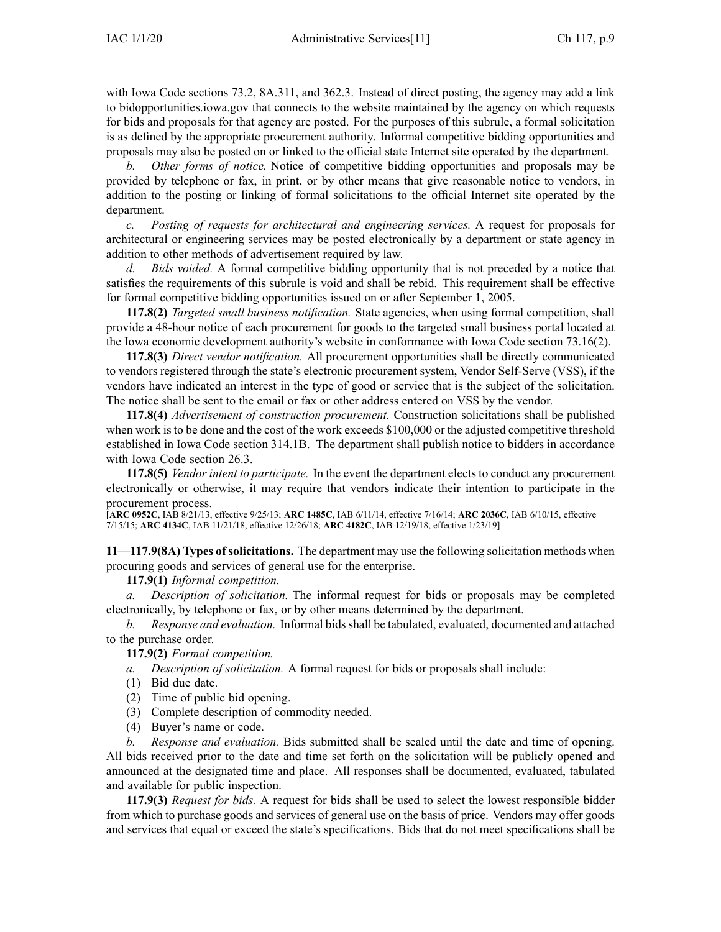with Iowa Code sections [73.2](https://www.legis.iowa.gov/docs/ico/section/73.2.pdf), [8A.311](https://www.legis.iowa.gov/docs/ico/section/8A.311.pdf), and [362.3](https://www.legis.iowa.gov/docs/ico/section/362.3.pdf). Instead of direct posting, the agency may add <sup>a</sup> link to [bidopportunities.iowa.gov](http://bidopportunities.iowa.gov) that connects to the website maintained by the agency on which requests for bids and proposals for that agency are posted. For the purposes of this subrule, <sup>a</sup> formal solicitation is as defined by the appropriate procuremen<sup>t</sup> authority. Informal competitive bidding opportunities and proposals may also be posted on or linked to the official state Internet site operated by the department.

*b. Other forms of notice.* Notice of competitive bidding opportunities and proposals may be provided by telephone or fax, in print, or by other means that give reasonable notice to vendors, in addition to the posting or linking of formal solicitations to the official Internet site operated by the department.

*c. Posting of requests for architectural and engineering services.* A reques<sup>t</sup> for proposals for architectural or engineering services may be posted electronically by <sup>a</sup> department or state agency in addition to other methods of advertisement required by law.

*d. Bids voided.* A formal competitive bidding opportunity that is not preceded by <sup>a</sup> notice that satisfies the requirements of this subrule is void and shall be rebid. This requirement shall be effective for formal competitive bidding opportunities issued on or after September 1, 2005.

**117.8(2)** *Targeted small business notification.* State agencies, when using formal competition, shall provide <sup>a</sup> 48-hour notice of each procuremen<sup>t</sup> for goods to the targeted small business portal located at the Iowa economic development authority's website in conformance with Iowa Code section [73.16\(2\)](https://www.legis.iowa.gov/docs/ico/section/73.16.pdf).

**117.8(3)** *Direct vendor notification.* All procuremen<sup>t</sup> opportunities shall be directly communicated to vendors registered through the state's electronic procuremen<sup>t</sup> system, Vendor Self-Serve (VSS), if the vendors have indicated an interest in the type of good or service that is the subject of the solicitation. The notice shall be sent to the email or fax or other address entered on VSS by the vendor.

**117.8(4)** *Advertisement of construction procurement.* Construction solicitations shall be published when work is to be done and the cost of the work exceeds \$100,000 or the adjusted competitive threshold established in Iowa Code section [314.1B](https://www.legis.iowa.gov/docs/ico/section/314.1B.pdf). The department shall publish notice to bidders in accordance with Iowa Code section [26.3](https://www.legis.iowa.gov/docs/ico/section/26.3.pdf).

**117.8(5)** *Vendor intent to participate.* In the event the department elects to conduct any procuremen<sup>t</sup> electronically or otherwise, it may require that vendors indicate their intention to participate in the procurement process.

[**ARC [0952C](https://www.legis.iowa.gov/docs/aco/arc/0952C.pdf)**, IAB 8/21/13, effective 9/25/13; **ARC [1485C](https://www.legis.iowa.gov/docs/aco/arc/1485C.pdf)**, IAB 6/11/14, effective 7/16/14; **ARC [2036C](https://www.legis.iowa.gov/docs/aco/arc/2036C.pdf)**, IAB 6/10/15, effective 7/15/15; **ARC [4134C](https://www.legis.iowa.gov/docs/aco/arc/4134C.pdf)**, IAB 11/21/18, effective 12/26/18; **ARC [4182C](https://www.legis.iowa.gov/docs/aco/arc/4182C.pdf)**, IAB 12/19/18, effective 1/23/19]

**11—117.9(8A) Types ofsolicitations.** The department may use the following solicitation methods when procuring goods and services of general use for the enterprise.

**117.9(1)** *Informal competition.*

*Description of solicitation*. The informal request for bids or proposals may be completed electronically, by telephone or fax, or by other means determined by the department.

*b. Response and evaluation.* Informal bidsshall be tabulated, evaluated, documented and attached to the purchase order.

**117.9(2)** *Formal competition.*

*a. Description of solicitation.* A formal reques<sup>t</sup> for bids or proposals shall include:

- (1) Bid due date.
- (2) Time of public bid opening.
- (3) Complete description of commodity needed.
- (4) Buyer's name or code.

*b. Response and evaluation.* Bids submitted shall be sealed until the date and time of opening. All bids received prior to the date and time set forth on the solicitation will be publicly opened and announced at the designated time and place. All responses shall be documented, evaluated, tabulated and available for public inspection.

**117.9(3)** *Request for bids.* A reques<sup>t</sup> for bids shall be used to select the lowest responsible bidder from which to purchase goods and services of general use on the basis of price. Vendors may offer goods and services that equal or exceed the state's specifications. Bids that do not meet specifications shall be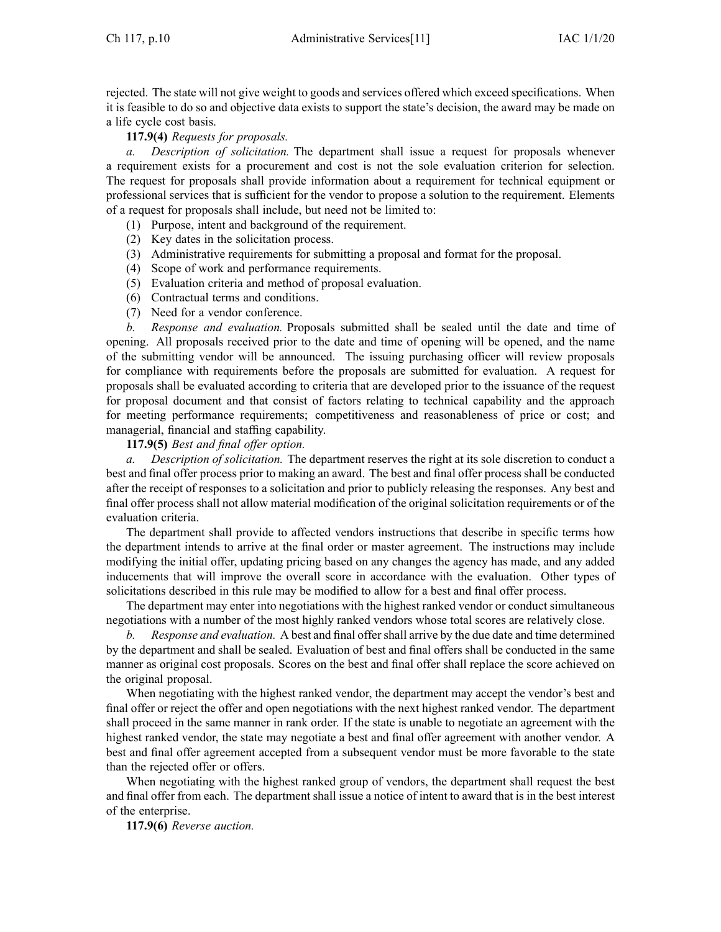rejected. The state will not give weight to goods and services offered which exceed specifications. When it is feasible to do so and objective data exists to suppor<sup>t</sup> the state's decision, the award may be made on <sup>a</sup> life cycle cost basis.

**117.9(4)** *Requests for proposals.*

*a. Description of solicitation.* The department shall issue <sup>a</sup> reques<sup>t</sup> for proposals whenever <sup>a</sup> requirement exists for <sup>a</sup> procuremen<sup>t</sup> and cost is not the sole evaluation criterion for selection. The reques<sup>t</sup> for proposals shall provide information about <sup>a</sup> requirement for technical equipment or professional services that is sufficient for the vendor to propose <sup>a</sup> solution to the requirement. Elements of <sup>a</sup> reques<sup>t</sup> for proposals shall include, but need not be limited to:

- (1) Purpose, intent and background of the requirement.
- (2) Key dates in the solicitation process.
- (3) Administrative requirements for submitting <sup>a</sup> proposal and format for the proposal.
- (4) Scope of work and performance requirements.
- (5) Evaluation criteria and method of proposal evaluation.
- (6) Contractual terms and conditions.
- (7) Need for <sup>a</sup> vendor conference.

*b. Response and evaluation.* Proposals submitted shall be sealed until the date and time of opening. All proposals received prior to the date and time of opening will be opened, and the name of the submitting vendor will be announced. The issuing purchasing officer will review proposals for compliance with requirements before the proposals are submitted for evaluation. A reques<sup>t</sup> for proposals shall be evaluated according to criteria that are developed prior to the issuance of the reques<sup>t</sup> for proposal document and that consist of factors relating to technical capability and the approach for meeting performance requirements; competitiveness and reasonableness of price or cost; and managerial, financial and staffing capability.

# **117.9(5)** *Best and final offer option.*

*a. Description of solicitation.* The department reserves the right at its sole discretion to conduct <sup>a</sup> best and final offer process prior to making an award. The best and final offer process shall be conducted after the receipt of responses to <sup>a</sup> solicitation and prior to publicly releasing the responses. Any best and final offer process shall not allow material modification of the original solicitation requirements or of the evaluation criteria.

The department shall provide to affected vendors instructions that describe in specific terms how the department intends to arrive at the final order or master agreement. The instructions may include modifying the initial offer, updating pricing based on any changes the agency has made, and any added inducements that will improve the overall score in accordance with the evaluation. Other types of solicitations described in this rule may be modified to allow for <sup>a</sup> best and final offer process.

The department may enter into negotiations with the highest ranked vendor or conduct simultaneous negotiations with <sup>a</sup> number of the most highly ranked vendors whose total scores are relatively close.

*b. Response and evaluation.* A best and final offershall arrive by the due date and time determined by the department and shall be sealed. Evaluation of best and final offers shall be conducted in the same manner as original cost proposals. Scores on the best and final offer shall replace the score achieved on the original proposal.

When negotiating with the highest ranked vendor, the department may accep<sup>t</sup> the vendor's best and final offer or reject the offer and open negotiations with the next highest ranked vendor. The department shall proceed in the same manner in rank order. If the state is unable to negotiate an agreemen<sup>t</sup> with the highest ranked vendor, the state may negotiate <sup>a</sup> best and final offer agreemen<sup>t</sup> with another vendor. A best and final offer agreemen<sup>t</sup> accepted from <sup>a</sup> subsequent vendor must be more favorable to the state than the rejected offer or offers.

When negotiating with the highest ranked group of vendors, the department shall reques<sup>t</sup> the best and final offer from each. The department shall issue <sup>a</sup> notice of intent to award that is in the best interest of the enterprise.

**117.9(6)** *Reverse auction.*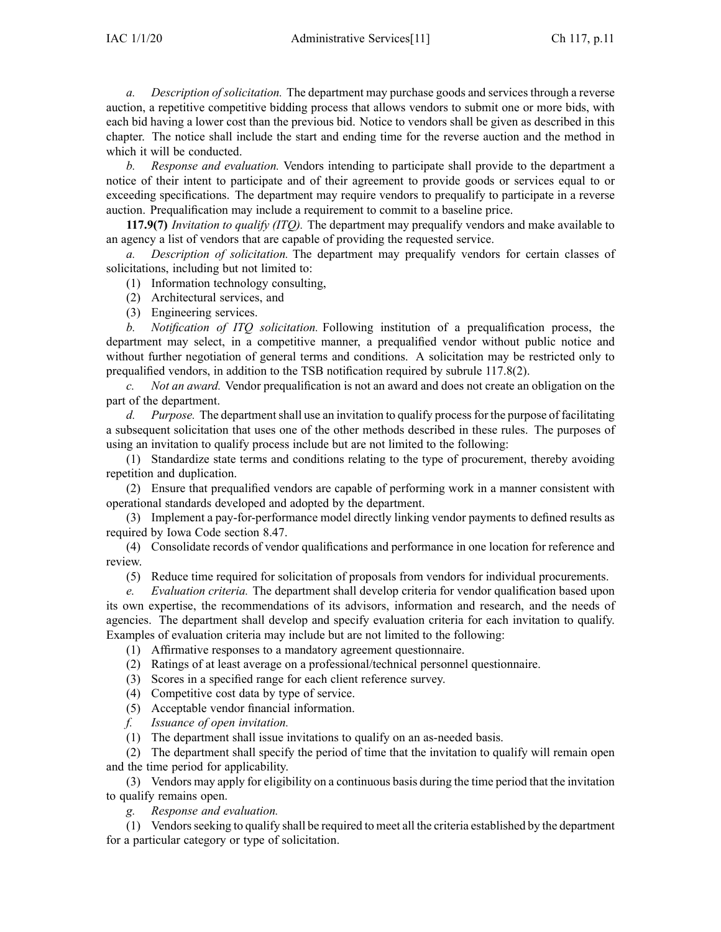*a. Description of solicitation.* The department may purchase goods and services through <sup>a</sup> reverse auction, <sup>a</sup> repetitive competitive bidding process that allows vendors to submit one or more bids, with each bid having <sup>a</sup> lower cost than the previous bid. Notice to vendors shall be given as described in this chapter. The notice shall include the start and ending time for the reverse auction and the method in which it will be conducted.

*b. Response and evaluation.* Vendors intending to participate shall provide to the department <sup>a</sup> notice of their intent to participate and of their agreemen<sup>t</sup> to provide goods or services equal to or exceeding specifications. The department may require vendors to prequalify to participate in <sup>a</sup> reverse auction. Prequalification may include <sup>a</sup> requirement to commit to <sup>a</sup> baseline price.

**117.9(7)** *Invitation to qualify (ITQ).* The department may prequalify vendors and make available to an agency <sup>a</sup> list of vendors that are capable of providing the requested service.

*a. Description of solicitation.* The department may prequalify vendors for certain classes of solicitations, including but not limited to:

(1) Information technology consulting,

- (2) Architectural services, and
- (3) Engineering services.

*b. Notification of ITQ solicitation.* Following institution of <sup>a</sup> prequalification process, the department may select, in <sup>a</sup> competitive manner, <sup>a</sup> prequalified vendor without public notice and without further negotiation of general terms and conditions. A solicitation may be restricted only to prequalified vendors, in addition to the TSB notification required by subrule [117.8\(2\)](https://www.legis.iowa.gov/docs/iac/rule/11.117.8.pdf).

*c. Not an award.* Vendor prequalification is not an award and does not create an obligation on the par<sup>t</sup> of the department.

*d. Purpose.* The department shall use an invitation to qualify process for the purpose of facilitating <sup>a</sup> subsequent solicitation that uses one of the other methods described in these rules. The purposes of using an invitation to qualify process include but are not limited to the following:

(1) Standardize state terms and conditions relating to the type of procurement, thereby avoiding repetition and duplication.

(2) Ensure that prequalified vendors are capable of performing work in <sup>a</sup> manner consistent with operational standards developed and adopted by the department.

(3) Implement <sup>a</sup> pay-for-performance model directly linking vendor payments to defined results as required by Iowa Code section [8.47](https://www.legis.iowa.gov/docs/ico/section/8.47.pdf).

(4) Consolidate records of vendor qualifications and performance in one location for reference and review.

(5) Reduce time required for solicitation of proposals from vendors for individual procurements.

*e. Evaluation criteria.* The department shall develop criteria for vendor qualification based upon its own expertise, the recommendations of its advisors, information and research, and the needs of agencies. The department shall develop and specify evaluation criteria for each invitation to qualify. Examples of evaluation criteria may include but are not limited to the following:

(1) Affirmative responses to <sup>a</sup> mandatory agreemen<sup>t</sup> questionnaire.

- (2) Ratings of at least average on <sup>a</sup> professional/technical personnel questionnaire.
- (3) Scores in <sup>a</sup> specified range for each client reference survey.
- (4) Competitive cost data by type of service.
- (5) Acceptable vendor financial information.
- *f. Issuance of open invitation.*

(1) The department shall issue invitations to qualify on an as-needed basis.

(2) The department shall specify the period of time that the invitation to qualify will remain open and the time period for applicability.

(3) Vendors may apply for eligibility on <sup>a</sup> continuous basis during the time period that the invitation to qualify remains open.

*g. Response and evaluation.*

(1) Vendorsseeking to qualify shall be required to meet all the criteria established by the department for <sup>a</sup> particular category or type of solicitation.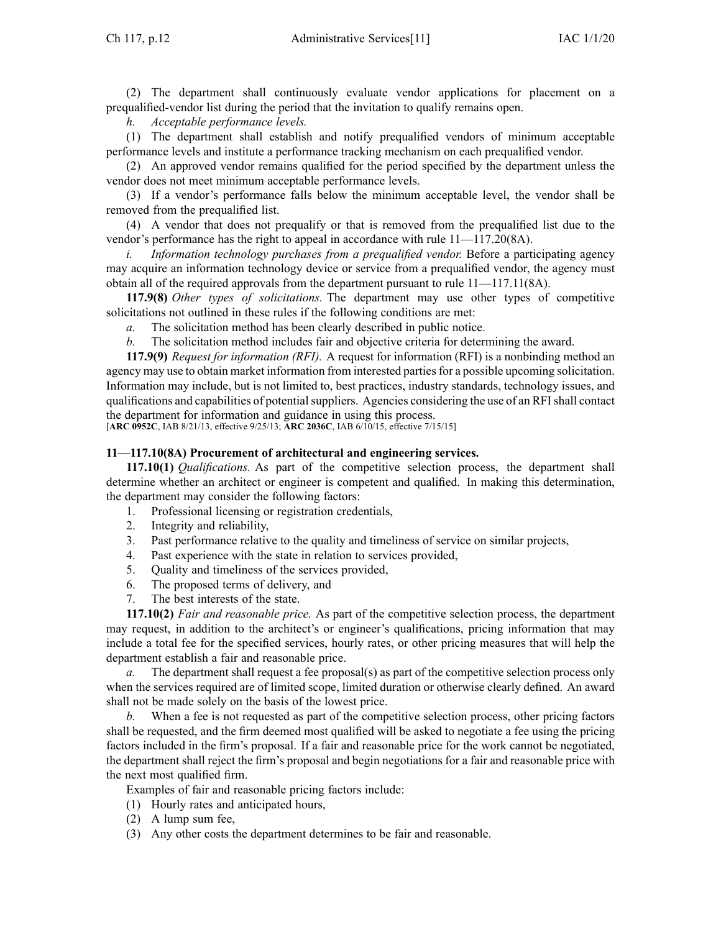(2) The department shall continuously evaluate vendor applications for placement on <sup>a</sup> prequalified-vendor list during the period that the invitation to qualify remains open.

*h. Acceptable performance levels.*

(1) The department shall establish and notify prequalified vendors of minimum acceptable performance levels and institute <sup>a</sup> performance tracking mechanism on each prequalified vendor.

(2) An approved vendor remains qualified for the period specified by the department unless the vendor does not meet minimum acceptable performance levels.

(3) If <sup>a</sup> vendor's performance falls below the minimum acceptable level, the vendor shall be removed from the prequalified list.

(4) A vendor that does not prequalify or that is removed from the prequalified list due to the vendor's performance has the right to appeal in accordance with rule [11—117.20](https://www.legis.iowa.gov/docs/iac/rule/11.117.20.pdf)(8A).

*i. Information technology purchases from <sup>a</sup> prequalified vendor.* Before <sup>a</sup> participating agency may acquire an information technology device or service from <sup>a</sup> prequalified vendor, the agency must obtain all of the required approvals from the department pursuan<sup>t</sup> to rule [11—117.11](https://www.legis.iowa.gov/docs/iac/rule/11.117.11.pdf)(8A).

**117.9(8)** *Other types of solicitations.* The department may use other types of competitive solicitations not outlined in these rules if the following conditions are met:

- *a.* The solicitation method has been clearly described in public notice.
- *b.* The solicitation method includes fair and objective criteria for determining the award.

**117.9(9)** *Request for information (RFI).* A reques<sup>t</sup> for information (RFI) is <sup>a</sup> nonbinding method an agency may use to obtain market information from interested parties for a possible upcoming solicitation. Information may include, but is not limited to, best practices, industry standards, technology issues, and qualifications and capabilities of potentialsuppliers. Agencies considering the use of an RFIshall contact the department for information and guidance in using this process.

[**ARC [0952C](https://www.legis.iowa.gov/docs/aco/arc/0952C.pdf)**, IAB 8/21/13, effective 9/25/13; **ARC [2036C](https://www.legis.iowa.gov/docs/aco/arc/2036C.pdf)**, IAB 6/10/15, effective 7/15/15]

#### **11—117.10(8A) Procurement of architectural and engineering services.**

**117.10(1)** *Qualifications.* As par<sup>t</sup> of the competitive selection process, the department shall determine whether an architect or engineer is competent and qualified. In making this determination, the department may consider the following factors:

- 1. Professional licensing or registration credentials,
- 2. Integrity and reliability,
- 3. Past performance relative to the quality and timeliness of service on similar projects,
- 4. Past experience with the state in relation to services provided,
- 5. Quality and timeliness of the services provided,
- 6. The proposed terms of delivery, and
- 7. The best interests of the state.

**117.10(2)** *Fair and reasonable price.* As par<sup>t</sup> of the competitive selection process, the department may request, in addition to the architect's or engineer's qualifications, pricing information that may include <sup>a</sup> total fee for the specified services, hourly rates, or other pricing measures that will help the department establish <sup>a</sup> fair and reasonable price.

*a.* The department shall reques<sup>t</sup> <sup>a</sup> fee proposal(s) as par<sup>t</sup> of the competitive selection process only when the services required are of limited scope, limited duration or otherwise clearly defined. An award shall not be made solely on the basis of the lowest price.

*b.* When <sup>a</sup> fee is not requested as par<sup>t</sup> of the competitive selection process, other pricing factors shall be requested, and the firm deemed most qualified will be asked to negotiate <sup>a</sup> fee using the pricing factors included in the firm's proposal. If <sup>a</sup> fair and reasonable price for the work cannot be negotiated, the department shall reject the firm's proposal and begin negotiations for <sup>a</sup> fair and reasonable price with the next most qualified firm.

Examples of fair and reasonable pricing factors include:

- (1) Hourly rates and anticipated hours,
- (2) A lump sum fee,
- (3) Any other costs the department determines to be fair and reasonable.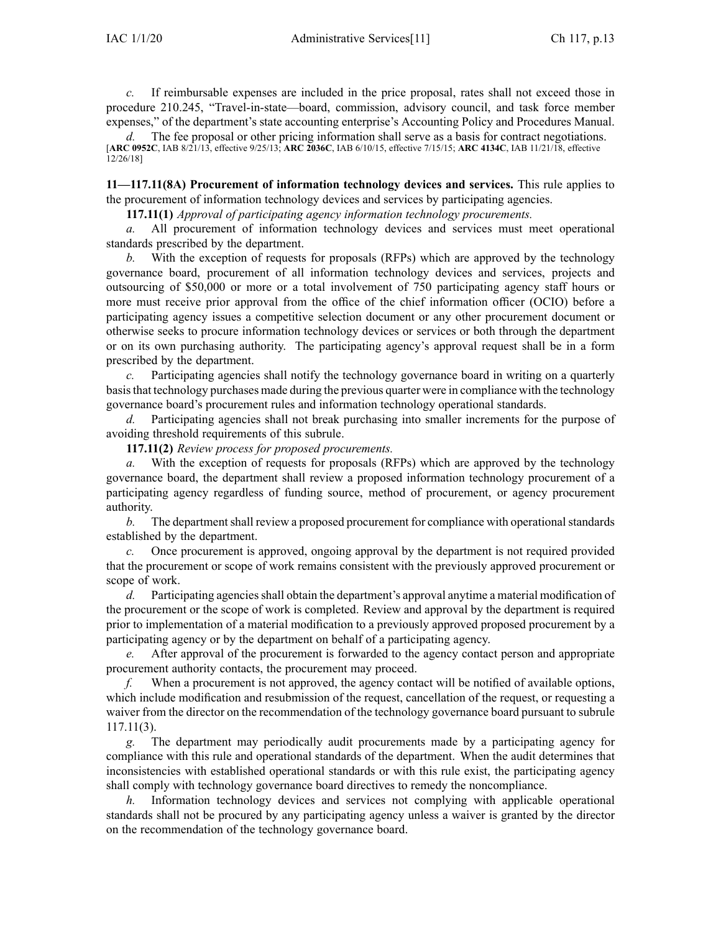*c.* If reimbursable expenses are included in the price proposal, rates shall not exceed those in procedure 210.245, "Travel-in-state—board, commission, advisory council, and task force member expenses," of the department's state accounting enterprise's Accounting Policy and Procedures Manual.

*d.* The fee proposal or other pricing information shall serve as a basis for contract negotiations. [**ARC [0952C](https://www.legis.iowa.gov/docs/aco/arc/0952C.pdf)**, IAB 8/21/13, effective 9/25/13; **ARC [2036C](https://www.legis.iowa.gov/docs/aco/arc/2036C.pdf)**, IAB 6/10/15, effective 7/15/15; **ARC [4134C](https://www.legis.iowa.gov/docs/aco/arc/4134C.pdf)**, IAB 11/21/18, effective 12/26/18]

**11—117.11(8A) Procurement of information technology devices and services.** This rule applies to the procuremen<sup>t</sup> of information technology devices and services by participating agencies.

**117.11(1)** *Approval of participating agency information technology procurements.*

*a.* All procuremen<sup>t</sup> of information technology devices and services must meet operational standards prescribed by the department.

With the exception of requests for proposals (RFPs) which are approved by the technology governance board, procuremen<sup>t</sup> of all information technology devices and services, projects and outsourcing of \$50,000 or more or <sup>a</sup> total involvement of 750 participating agency staff hours or more must receive prior approval from the office of the chief information officer (OCIO) before <sup>a</sup> participating agency issues <sup>a</sup> competitive selection document or any other procuremen<sup>t</sup> document or otherwise seeks to procure information technology devices or services or both through the department or on its own purchasing authority. The participating agency's approval reques<sup>t</sup> shall be in <sup>a</sup> form prescribed by the department.

*c.* Participating agencies shall notify the technology governance board in writing on <sup>a</sup> quarterly basisthat technology purchases made during the previous quarter were in compliance with the technology governance board's procuremen<sup>t</sup> rules and information technology operational standards.

*d.* Participating agencies shall not break purchasing into smaller increments for the purpose of avoiding threshold requirements of this subrule.

**117.11(2)** *Review process for proposed procurements.*

*a.* With the exception of requests for proposals (RFPs) which are approved by the technology governance board, the department shall review <sup>a</sup> proposed information technology procuremen<sup>t</sup> of <sup>a</sup> participating agency regardless of funding source, method of procurement, or agency procuremen<sup>t</sup> authority.

*b.* The department shall review a proposed procurement for compliance with operational standards established by the department.

*c.* Once procuremen<sup>t</sup> is approved, ongoing approval by the department is not required provided that the procuremen<sup>t</sup> or scope of work remains consistent with the previously approved procuremen<sup>t</sup> or scope of work.

*d.* Participating agencies shall obtain the department's approval anytime a material modification of the procuremen<sup>t</sup> or the scope of work is completed. Review and approval by the department is required prior to implementation of <sup>a</sup> material modification to <sup>a</sup> previously approved proposed procuremen<sup>t</sup> by <sup>a</sup> participating agency or by the department on behalf of <sup>a</sup> participating agency.

*e.* After approval of the procuremen<sup>t</sup> is forwarded to the agency contact person and appropriate procuremen<sup>t</sup> authority contacts, the procuremen<sup>t</sup> may proceed.

*f.* When a procurement is not approved, the agency contact will be notified of available options, which include modification and resubmission of the request, cancellation of the request, or requesting <sup>a</sup> waiver from the director on the recommendation of the technology governance board pursuan<sup>t</sup> to subrule [117.11\(3\)](https://www.legis.iowa.gov/docs/iac/rule/11.117.11.pdf).

The department may periodically audit procurements made by a participating agency for compliance with this rule and operational standards of the department. When the audit determines that inconsistencies with established operational standards or with this rule exist, the participating agency shall comply with technology governance board directives to remedy the noncompliance.

*h.* Information technology devices and services not complying with applicable operational standards shall not be procured by any participating agency unless <sup>a</sup> waiver is granted by the director on the recommendation of the technology governance board.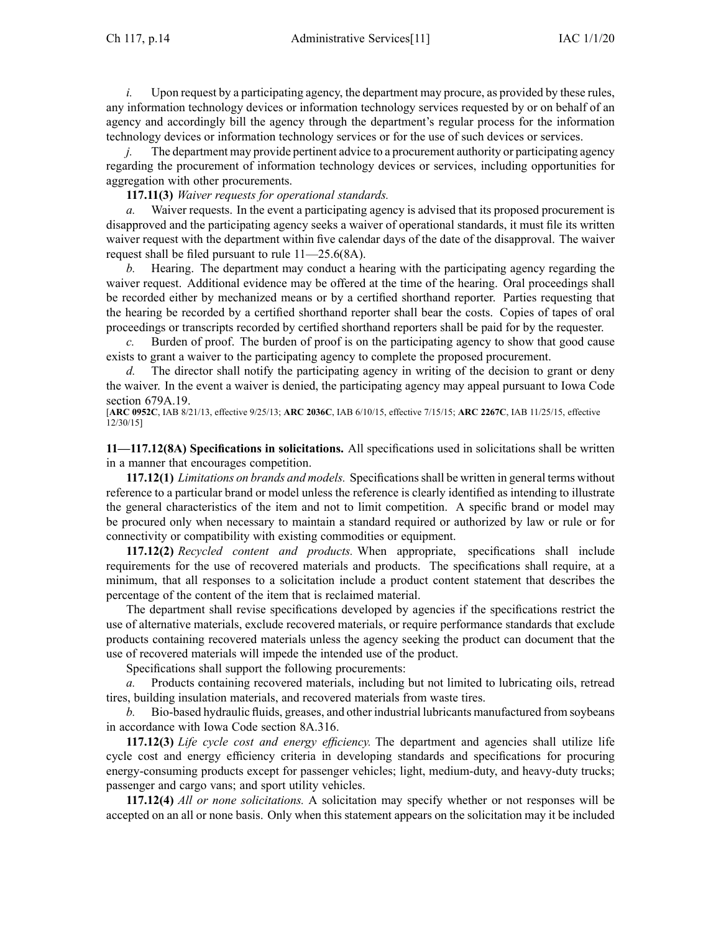*i.* Upon request by a participating agency, the department may procure, as provided by these rules, any information technology devices or information technology services requested by or on behalf of an agency and accordingly bill the agency through the department's regular process for the information technology devices or information technology services or for the use of such devices or services.

*j.* The department may provide pertinent advice to a procurement authority or participating agency regarding the procuremen<sup>t</sup> of information technology devices or services, including opportunities for aggregation with other procurements.

# **117.11(3)** *Waiver requests for operational standards.*

*a.* Waiver requests. In the event a participating agency is advised that its proposed procurement is disapproved and the participating agency seeks <sup>a</sup> waiver of operational standards, it must file its written waiver reques<sup>t</sup> with the department within five calendar days of the date of the disapproval. The waiver reques<sup>t</sup> shall be filed pursuan<sup>t</sup> to rule [11—25.6\(](https://www.legis.iowa.gov/docs/iac/rule/11.25.6.pdf)8A).

*b.* Hearing. The department may conduct <sup>a</sup> hearing with the participating agency regarding the waiver request. Additional evidence may be offered at the time of the hearing. Oral proceedings shall be recorded either by mechanized means or by <sup>a</sup> certified shorthand reporter. Parties requesting that the hearing be recorded by <sup>a</sup> certified shorthand reporter shall bear the costs. Copies of tapes of oral proceedings or transcripts recorded by certified shorthand reporters shall be paid for by the requester.

*c.* Burden of proof. The burden of proof is on the participating agency to show that good cause exists to gran<sup>t</sup> <sup>a</sup> waiver to the participating agency to complete the proposed procurement.

*d.* The director shall notify the participating agency in writing of the decision to grant or deny the waiver. In the event <sup>a</sup> waiver is denied, the participating agency may appeal pursuan<sup>t</sup> to Iowa Code section [679A.19](https://www.legis.iowa.gov/docs/ico/section/679A.19.pdf).

[**ARC [0952C](https://www.legis.iowa.gov/docs/aco/arc/0952C.pdf)**, IAB 8/21/13, effective 9/25/13; **ARC [2036C](https://www.legis.iowa.gov/docs/aco/arc/2036C.pdf)**, IAB 6/10/15, effective 7/15/15; **ARC [2267C](https://www.legis.iowa.gov/docs/aco/arc/2267C.pdf)**, IAB 11/25/15, effective 12/30/15]

**11—117.12(8A) Specifications in solicitations.** All specifications used in solicitations shall be written in <sup>a</sup> manner that encourages competition.

**117.12(1)** *Limitations on brands and models.* Specificationsshall be written in general terms without reference to <sup>a</sup> particular brand or model unless the reference is clearly identified as intending to illustrate the general characteristics of the item and not to limit competition. A specific brand or model may be procured only when necessary to maintain <sup>a</sup> standard required or authorized by law or rule or for connectivity or compatibility with existing commodities or equipment.

**117.12(2)** *Recycled content and products.* When appropriate, specifications shall include requirements for the use of recovered materials and products. The specifications shall require, at <sup>a</sup> minimum, that all responses to <sup>a</sup> solicitation include <sup>a</sup> product content statement that describes the percentage of the content of the item that is reclaimed material.

The department shall revise specifications developed by agencies if the specifications restrict the use of alternative materials, exclude recovered materials, or require performance standards that exclude products containing recovered materials unless the agency seeking the product can document that the use of recovered materials will impede the intended use of the product.

Specifications shall suppor<sup>t</sup> the following procurements:

*a.* Products containing recovered materials, including but not limited to lubricating oils, retread tires, building insulation materials, and recovered materials from waste tires.

*b.* Bio-based hydraulic fluids, greases, and other industrial lubricants manufactured from soybeans in accordance with Iowa Code section [8A.316](https://www.legis.iowa.gov/docs/ico/section/8A.316.pdf).

**117.12(3)** *Life cycle cost and energy efficiency.* The department and agencies shall utilize life cycle cost and energy efficiency criteria in developing standards and specifications for procuring energy-consuming products excep<sup>t</sup> for passenger vehicles; light, medium-duty, and heavy-duty trucks; passenger and cargo vans; and spor<sup>t</sup> utility vehicles.

**117.12(4)** *All or none solicitations.* A solicitation may specify whether or not responses will be accepted on an all or none basis. Only when this statement appears on the solicitation may it be included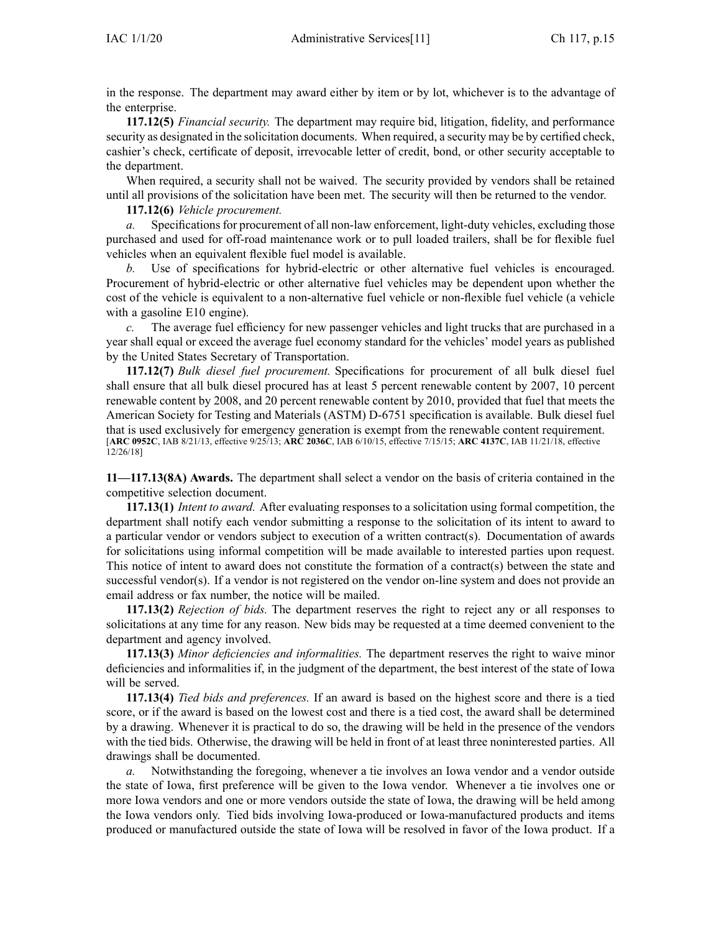in the response. The department may award either by item or by lot, whichever is to the advantage of the enterprise.

**117.12(5)** *Financial security.* The department may require bid, litigation, fidelity, and performance security as designated in the solicitation documents. When required, <sup>a</sup> security may be by certified check, cashier's check, certificate of deposit, irrevocable letter of credit, bond, or other security acceptable to the department.

When required, <sup>a</sup> security shall not be waived. The security provided by vendors shall be retained until all provisions of the solicitation have been met. The security will then be returned to the vendor.

**117.12(6)** *Vehicle procurement.*

*a.* Specifications for procurement of all non-law enforcement, light-duty vehicles, excluding those purchased and used for off-road maintenance work or to pull loaded trailers, shall be for flexible fuel vehicles when an equivalent flexible fuel model is available.

*b.* Use of specifications for hybrid-electric or other alternative fuel vehicles is encouraged. Procurement of hybrid-electric or other alternative fuel vehicles may be dependent upon whether the cost of the vehicle is equivalent to <sup>a</sup> non-alternative fuel vehicle or non-flexible fuel vehicle (a vehicle with a gasoline E10 engine).

*c.* The average fuel efficiency for new passenger vehicles and light trucks that are purchased in <sup>a</sup> year shall equal or exceed the average fuel economy standard for the vehicles' model years as published by the United States Secretary of Transportation.

**117.12(7)** *Bulk diesel fuel procurement.* Specifications for procuremen<sup>t</sup> of all bulk diesel fuel shall ensure that all bulk diesel procured has at least 5 percen<sup>t</sup> renewable content by 2007, 10 percen<sup>t</sup> renewable content by 2008, and 20 percen<sup>t</sup> renewable content by 2010, provided that fuel that meets the American Society for Testing and Materials (ASTM) D-6751 specification is available. Bulk diesel fuel that is used exclusively for emergency generation is exemp<sup>t</sup> from the renewable content requirement. [**ARC [0952C](https://www.legis.iowa.gov/docs/aco/arc/0952C.pdf)**, IAB 8/21/13, effective 9/25/13; **ARC [2036C](https://www.legis.iowa.gov/docs/aco/arc/2036C.pdf)**, IAB 6/10/15, effective 7/15/15; **ARC [4137C](https://www.legis.iowa.gov/docs/aco/arc/4137C.pdf)**, IAB 11/21/18, effective 12/26/18]

**11—117.13(8A) Awards.** The department shall select <sup>a</sup> vendor on the basis of criteria contained in the competitive selection document.

**117.13(1)** *Intent to award.* After evaluating responses to <sup>a</sup> solicitation using formal competition, the department shall notify each vendor submitting <sup>a</sup> response to the solicitation of its intent to award to <sup>a</sup> particular vendor or vendors subject to execution of <sup>a</sup> written contract(s). Documentation of awards for solicitations using informal competition will be made available to interested parties upon request. This notice of intent to award does not constitute the formation of <sup>a</sup> contract(s) between the state and successful vendor(s). If a vendor is not registered on the vendor on-line system and does not provide an email address or fax number, the notice will be mailed.

**117.13(2)** *Rejection of bids.* The department reserves the right to reject any or all responses to solicitations at any time for any reason. New bids may be requested at <sup>a</sup> time deemed convenient to the department and agency involved.

**117.13(3)** *Minor deficiencies and informalities.* The department reserves the right to waive minor deficiencies and informalities if, in the judgment of the department, the best interest of the state of Iowa will be served.

**117.13(4)** *Tied bids and preferences.* If an award is based on the highest score and there is <sup>a</sup> tied score, or if the award is based on the lowest cost and there is <sup>a</sup> tied cost, the award shall be determined by <sup>a</sup> drawing. Whenever it is practical to do so, the drawing will be held in the presence of the vendors with the tied bids. Otherwise, the drawing will be held in front of at least three noninterested parties. All drawings shall be documented.

*a.* Notwithstanding the foregoing, whenever <sup>a</sup> tie involves an Iowa vendor and <sup>a</sup> vendor outside the state of Iowa, first preference will be given to the Iowa vendor. Whenever <sup>a</sup> tie involves one or more Iowa vendors and one or more vendors outside the state of Iowa, the drawing will be held among the Iowa vendors only. Tied bids involving Iowa-produced or Iowa-manufactured products and items produced or manufactured outside the state of Iowa will be resolved in favor of the Iowa product. If <sup>a</sup>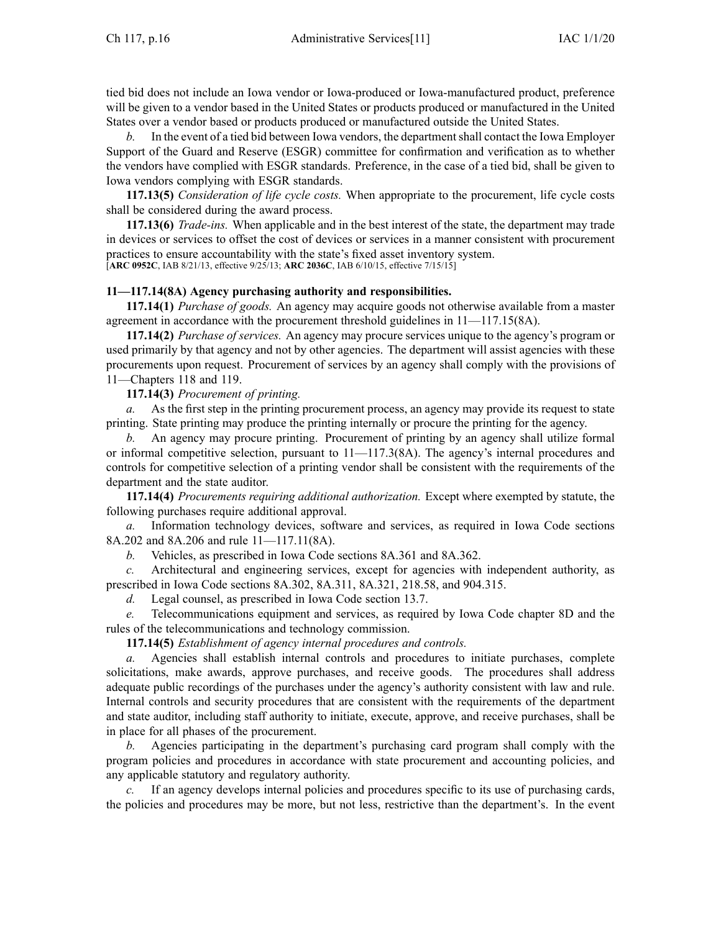tied bid does not include an Iowa vendor or Iowa-produced or Iowa-manufactured product, preference will be given to <sup>a</sup> vendor based in the United States or products produced or manufactured in the United States over <sup>a</sup> vendor based or products produced or manufactured outside the United States.

*b.* In the event of a tied bid between Iowa vendors, the department shall contact the Iowa Employer Support of the Guard and Reserve (ESGR) committee for confirmation and verification as to whether the vendors have complied with ESGR standards. Preference, in the case of <sup>a</sup> tied bid, shall be given to Iowa vendors complying with ESGR standards.

**117.13(5)** *Consideration of life cycle costs.* When appropriate to the procurement, life cycle costs shall be considered during the award process.

**117.13(6)** *Trade-ins.* When applicable and in the best interest of the state, the department may trade in devices or services to offset the cost of devices or services in <sup>a</sup> manner consistent with procuremen<sup>t</sup> practices to ensure accountability with the state's fixed asset inventory system. [**ARC [0952C](https://www.legis.iowa.gov/docs/aco/arc/0952C.pdf)**, IAB 8/21/13, effective 9/25/13; **ARC [2036C](https://www.legis.iowa.gov/docs/aco/arc/2036C.pdf)**, IAB 6/10/15, effective 7/15/15]

# **11—117.14(8A) Agency purchasing authority and responsibilities.**

**117.14(1)** *Purchase of goods.* An agency may acquire goods not otherwise available from <sup>a</sup> master agreemen<sup>t</sup> in accordance with the procuremen<sup>t</sup> threshold guidelines in [11—117.15](https://www.legis.iowa.gov/docs/iac/rule/11.117.15.pdf)(8A).

**117.14(2)** *Purchase of services.* An agency may procure services unique to the agency's program or used primarily by that agency and not by other agencies. The department will assist agencies with these procurements upon request. Procurement of services by an agency shall comply with the provisions of [11—Chapters](https://www.legis.iowa.gov/docs/iac/chapter/11.118.pdf) 118 and [119](https://www.legis.iowa.gov/docs/iac/chapter/11.119.pdf).

# **117.14(3)** *Procurement of printing.*

*a.* As the first step in the printing procuremen<sup>t</sup> process, an agency may provide its reques<sup>t</sup> to state printing. State printing may produce the printing internally or procure the printing for the agency.

*b.* An agency may procure printing. Procurement of printing by an agency shall utilize formal or informal competitive selection, pursuan<sup>t</sup> to [11—117.3](https://www.legis.iowa.gov/docs/iac/rule/11.117.3.pdf)(8A). The agency's internal procedures and controls for competitive selection of <sup>a</sup> printing vendor shall be consistent with the requirements of the department and the state auditor.

**117.14(4)** *Procurements requiring additional authorization.* Except where exempted by statute, the following purchases require additional approval.

*a.* Information technology devices, software and services, as required in Iowa Code sections [8A.202](https://www.legis.iowa.gov/docs/ico/section/8A.202.pdf) and [8A.206](https://www.legis.iowa.gov/docs/ico/section/8A.206.pdf) and rule [11—117.11](https://www.legis.iowa.gov/docs/iac/rule/11.117.11.pdf)(8A).

*b.* Vehicles, as prescribed in Iowa Code sections [8A.361](https://www.legis.iowa.gov/docs/ico/section/8A.361.pdf) and [8A.362](https://www.legis.iowa.gov/docs/ico/section/8A.362.pdf).

Architectural and engineering services, except for agencies with independent authority, as prescribed in Iowa Code sections [8A.302](https://www.legis.iowa.gov/docs/ico/section/8A.302.pdf), [8A.311](https://www.legis.iowa.gov/docs/ico/section/8A.311.pdf), [8A.321](https://www.legis.iowa.gov/docs/ico/section/8A.321.pdf), [218.58](https://www.legis.iowa.gov/docs/ico/section/218.58.pdf), and [904.315](https://www.legis.iowa.gov/docs/ico/section/904.315.pdf).

*d.* Legal counsel, as prescribed in Iowa Code section [13.7](https://www.legis.iowa.gov/docs/ico/section/13.7.pdf).

*e.* Telecommunications equipment and services, as required by Iowa Code chapter [8D](https://www.legis.iowa.gov/docs/ico/chapter/8D.pdf) and the rules of the telecommunications and technology commission.

**117.14(5)** *Establishment of agency internal procedures and controls.*

*a.* Agencies shall establish internal controls and procedures to initiate purchases, complete solicitations, make awards, approve purchases, and receive goods. The procedures shall address adequate public recordings of the purchases under the agency's authority consistent with law and rule. Internal controls and security procedures that are consistent with the requirements of the department and state auditor, including staff authority to initiate, execute, approve, and receive purchases, shall be in place for all phases of the procurement.

*b.* Agencies participating in the department's purchasing card program shall comply with the program policies and procedures in accordance with state procuremen<sup>t</sup> and accounting policies, and any applicable statutory and regulatory authority.

If an agency develops internal policies and procedures specific to its use of purchasing cards, the policies and procedures may be more, but not less, restrictive than the department's. In the event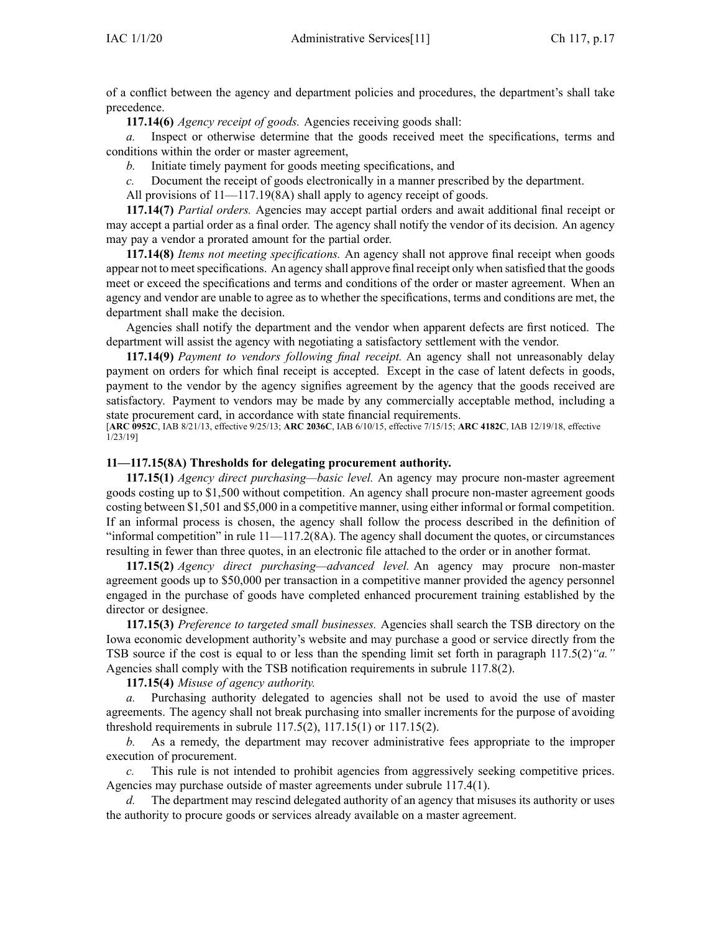of <sup>a</sup> conflict between the agency and department policies and procedures, the department's shall take precedence.

**117.14(6)** *Agency receipt of goods.* Agencies receiving goods shall:

*a.* Inspect or otherwise determine that the goods received meet the specifications, terms and conditions within the order or master agreement,

*b.* Initiate timely paymen<sup>t</sup> for goods meeting specifications, and

*c.* Document the receipt of goods electronically in <sup>a</sup> manner prescribed by the department.

All provisions of  $11$ —117.19(8A) shall apply to agency receipt of goods.

**117.14(7)** *Partial orders.* Agencies may accep<sup>t</sup> partial orders and await additional final receipt or may accep<sup>t</sup> <sup>a</sup> partial order as <sup>a</sup> final order. The agency shall notify the vendor of its decision. An agency may pay <sup>a</sup> vendor <sup>a</sup> prorated amount for the partial order.

**117.14(8)** *Items not meeting specifications.* An agency shall not approve final receipt when goods appear not to meet specifications. An agency shall approve final receipt only when satisfied that the goods meet or exceed the specifications and terms and conditions of the order or master agreement. When an agency and vendor are unable to agree as to whether the specifications, terms and conditions are met, the department shall make the decision.

Agencies shall notify the department and the vendor when apparen<sup>t</sup> defects are first noticed. The department will assist the agency with negotiating <sup>a</sup> satisfactory settlement with the vendor.

**117.14(9)** *Payment to vendors following final receipt.* An agency shall not unreasonably delay paymen<sup>t</sup> on orders for which final receipt is accepted. Except in the case of latent defects in goods, paymen<sup>t</sup> to the vendor by the agency signifies agreemen<sup>t</sup> by the agency that the goods received are satisfactory. Payment to vendors may be made by any commercially acceptable method, including <sup>a</sup> state procuremen<sup>t</sup> card, in accordance with state financial requirements.

[**ARC [0952C](https://www.legis.iowa.gov/docs/aco/arc/0952C.pdf)**, IAB 8/21/13, effective 9/25/13; **ARC [2036C](https://www.legis.iowa.gov/docs/aco/arc/2036C.pdf)**, IAB 6/10/15, effective 7/15/15; **ARC [4182C](https://www.legis.iowa.gov/docs/aco/arc/4182C.pdf)**, IAB 12/19/18, effective 1/23/19]

#### **11—117.15(8A) Thresholds for delegating procurement authority.**

**117.15(1)** *Agency direct purchasing—basic level.* An agency may procure non-master agreemen<sup>t</sup> goods costing up to \$1,500 without competition. An agency shall procure non-master agreemen<sup>t</sup> goods costing between \$1,501 and \$5,000 in <sup>a</sup> competitive manner, using either informal or formal competition. If an informal process is chosen, the agency shall follow the process described in the definition of "informal competition" in rule [11—117.2](https://www.legis.iowa.gov/docs/iac/rule/11.117.2.pdf)(8A). The agency shall document the quotes, or circumstances resulting in fewer than three quotes, in an electronic file attached to the order or in another format.

**117.15(2)** *Agency direct purchasing—advanced level.* An agency may procure non-master agreemen<sup>t</sup> goods up to \$50,000 per transaction in <sup>a</sup> competitive manner provided the agency personnel engaged in the purchase of goods have completed enhanced procuremen<sup>t</sup> training established by the director or designee.

**117.15(3)** *Preference to targeted small businesses.* Agencies shall search the TSB directory on the Iowa economic development authority's website and may purchase <sup>a</sup> good or service directly from the TSB source if the cost is equal to or less than the spending limit set forth in paragraph [117.5\(2\)](https://www.legis.iowa.gov/docs/iac/rule/11.117.5.pdf)*"a."* Agencies shall comply with the TSB notification requirements in subrule [117.8\(2\)](https://www.legis.iowa.gov/docs/iac/rule/11.117.8.pdf).

**117.15(4)** *Misuse of agency authority.*

*a.* Purchasing authority delegated to agencies shall not be used to avoid the use of master agreements. The agency shall not break purchasing into smaller increments for the purpose of avoiding threshold requirements in subrule [117.5\(2\)](https://www.legis.iowa.gov/docs/iac/rule/11.117.5.pdf), [117.15\(1\)](https://www.legis.iowa.gov/docs/iac/rule/11.117.15.pdf) or [117.15\(2\)](https://www.legis.iowa.gov/docs/iac/rule/11.117.15.pdf).

*b.* As <sup>a</sup> remedy, the department may recover administrative fees appropriate to the improper execution of procurement.

*c.* This rule is not intended to prohibit agencies from aggressively seeking competitive prices. Agencies may purchase outside of master agreements under subrule [117.4\(1\)](https://www.legis.iowa.gov/docs/iac/rule/11.117.4.pdf).

*d.* The department may rescind delegated authority of an agency that misuses its authority or uses the authority to procure goods or services already available on <sup>a</sup> master agreement.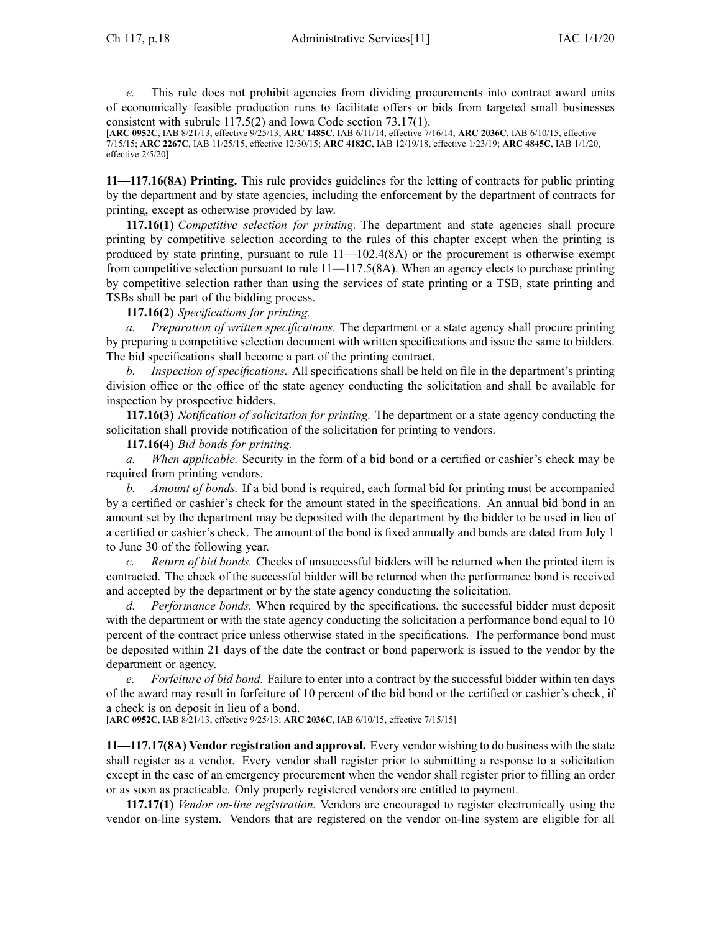*e.* This rule does not prohibit agencies from dividing procurements into contract award units of economically feasible production runs to facilitate offers or bids from targeted small businesses consistent with subrule [117.5\(2\)](https://www.legis.iowa.gov/docs/iac/rule/11.117.5.pdf) and Iowa Code section [73.17\(1\)](https://www.legis.iowa.gov/docs/ico/section/73.17.pdf).

[**ARC [0952C](https://www.legis.iowa.gov/docs/aco/arc/0952C.pdf)**, IAB 8/21/13, effective 9/25/13; **ARC [1485C](https://www.legis.iowa.gov/docs/aco/arc/1485C.pdf)**, IAB 6/11/14, effective 7/16/14; **ARC [2036C](https://www.legis.iowa.gov/docs/aco/arc/2036C.pdf)**, IAB 6/10/15, effective 7/15/15; **ARC [2267C](https://www.legis.iowa.gov/docs/aco/arc/2267C.pdf)**, IAB 11/25/15, effective 12/30/15; **ARC [4182C](https://www.legis.iowa.gov/docs/aco/arc/4182C.pdf)**, IAB 12/19/18, effective 1/23/19; **ARC [4845C](https://www.legis.iowa.gov/docs/aco/arc/4845C.pdf)**, IAB 1/1/20, effective 2/5/20]

**11—117.16(8A) Printing.** This rule provides guidelines for the letting of contracts for public printing by the department and by state agencies, including the enforcement by the department of contracts for printing, excep<sup>t</sup> as otherwise provided by law.

**117.16(1)** *Competitive selection for printing.* The department and state agencies shall procure printing by competitive selection according to the rules of this chapter excep<sup>t</sup> when the printing is produced by state printing, pursuant to rule  $11-102.4(8A)$  or the procurement is otherwise exempt from competitive selection pursuan<sup>t</sup> to rule [11—117.5](https://www.legis.iowa.gov/docs/iac/rule/11.117.5.pdf)(8A). When an agency elects to purchase printing by competitive selection rather than using the services of state printing or <sup>a</sup> TSB, state printing and TSBs shall be par<sup>t</sup> of the bidding process.

#### **117.16(2)** *Specifications for printing.*

*a. Preparation of written specifications.* The department or <sup>a</sup> state agency shall procure printing by preparing <sup>a</sup> competitive selection document with written specifications and issue the same to bidders. The bid specifications shall become <sup>a</sup> par<sup>t</sup> of the printing contract.

*b. Inspection of specifications.* All specifications shall be held on file in the department's printing division office or the office of the state agency conducting the solicitation and shall be available for inspection by prospective bidders.

**117.16(3)** *Notification of solicitation for printing.* The department or <sup>a</sup> state agency conducting the solicitation shall provide notification of the solicitation for printing to vendors.

**117.16(4)** *Bid bonds for printing.*

*a. When applicable.* Security in the form of <sup>a</sup> bid bond or <sup>a</sup> certified or cashier's check may be required from printing vendors.

*b. Amount of bonds.* If <sup>a</sup> bid bond is required, each formal bid for printing must be accompanied by <sup>a</sup> certified or cashier's check for the amount stated in the specifications. An annual bid bond in an amount set by the department may be deposited with the department by the bidder to be used in lieu of <sup>a</sup> certified or cashier's check. The amount of the bond is fixed annually and bonds are dated from July 1 to June 30 of the following year.

*c. Return of bid bonds.* Checks of unsuccessful bidders will be returned when the printed item is contracted. The check of the successful bidder will be returned when the performance bond is received and accepted by the department or by the state agency conducting the solicitation.

*d. Performance bonds.* When required by the specifications, the successful bidder must deposit with the department or with the state agency conducting the solicitation a performance bond equal to 10 percen<sup>t</sup> of the contract price unless otherwise stated in the specifications. The performance bond must be deposited within 21 days of the date the contract or bond paperwork is issued to the vendor by the department or agency.

*e. Forfeiture of bid bond.* Failure to enter into <sup>a</sup> contract by the successful bidder within ten days of the award may result in forfeiture of 10 percen<sup>t</sup> of the bid bond or the certified or cashier's check, if <sup>a</sup> check is on deposit in lieu of <sup>a</sup> bond.

[**ARC [0952C](https://www.legis.iowa.gov/docs/aco/arc/0952C.pdf)**, IAB 8/21/13, effective 9/25/13; **ARC [2036C](https://www.legis.iowa.gov/docs/aco/arc/2036C.pdf)**, IAB 6/10/15, effective 7/15/15]

**11—117.17(8A) Vendor registration and approval.** Every vendor wishing to do business with the state shall register as <sup>a</sup> vendor. Every vendor shall register prior to submitting <sup>a</sup> response to <sup>a</sup> solicitation excep<sup>t</sup> in the case of an emergency procuremen<sup>t</sup> when the vendor shall register prior to filling an order or as soon as practicable. Only properly registered vendors are entitled to payment.

**117.17(1)** *Vendor on-line registration.* Vendors are encouraged to register electronically using the vendor on-line system. Vendors that are registered on the vendor on-line system are eligible for all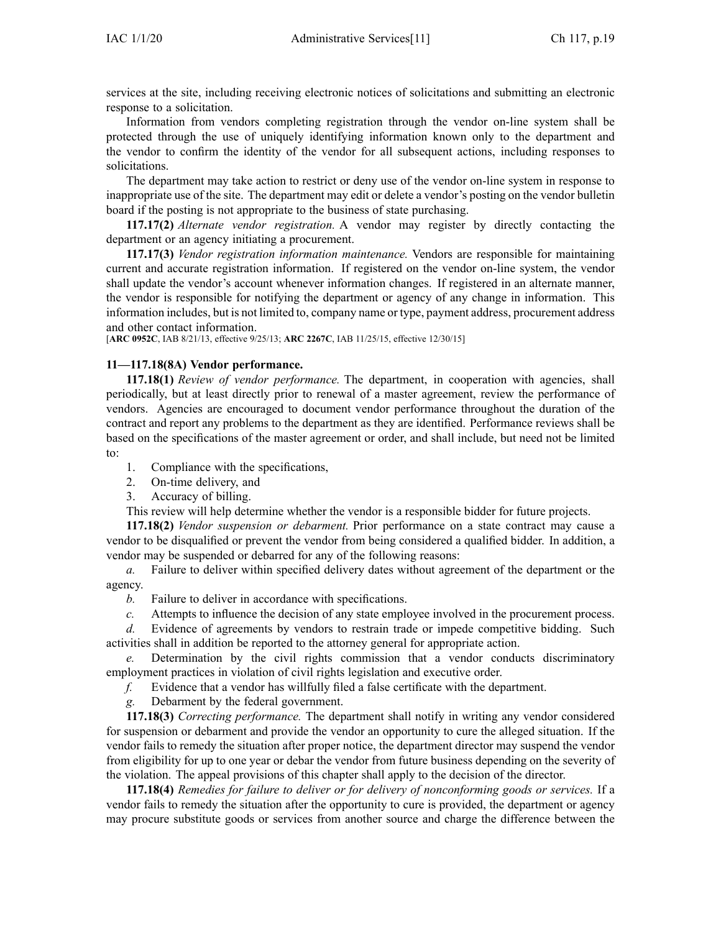services at the site, including receiving electronic notices of solicitations and submitting an electronic response to <sup>a</sup> solicitation.

Information from vendors completing registration through the vendor on-line system shall be protected through the use of uniquely identifying information known only to the department and the vendor to confirm the identity of the vendor for all subsequent actions, including responses to solicitations.

The department may take action to restrict or deny use of the vendor on-line system in response to inappropriate use of the site. The department may edit or delete <sup>a</sup> vendor's posting on the vendor bulletin board if the posting is not appropriate to the business of state purchasing.

**117.17(2)** *Alternate vendor registration.* A vendor may register by directly contacting the department or an agency initiating <sup>a</sup> procurement.

**117.17(3)** *Vendor registration information maintenance.* Vendors are responsible for maintaining current and accurate registration information. If registered on the vendor on-line system, the vendor shall update the vendor's account whenever information changes. If registered in an alternate manner, the vendor is responsible for notifying the department or agency of any change in information. This information includes, but is not limited to, company name or type, paymen<sup>t</sup> address, procuremen<sup>t</sup> address and other contact information.

[**ARC [0952C](https://www.legis.iowa.gov/docs/aco/arc/0952C.pdf)**, IAB 8/21/13, effective 9/25/13; **ARC [2267C](https://www.legis.iowa.gov/docs/aco/arc/2267C.pdf)**, IAB 11/25/15, effective 12/30/15]

### **11—117.18(8A) Vendor performance.**

**117.18(1)** *Review of vendor performance.* The department, in cooperation with agencies, shall periodically, but at least directly prior to renewal of <sup>a</sup> master agreement, review the performance of vendors. Agencies are encouraged to document vendor performance throughout the duration of the contract and repor<sup>t</sup> any problems to the department as they are identified. Performance reviews shall be based on the specifications of the master agreemen<sup>t</sup> or order, and shall include, but need not be limited to:

- 1. Compliance with the specifications,
- 2. On-time delivery, and
- 3. Accuracy of billing.

This review will help determine whether the vendor is <sup>a</sup> responsible bidder for future projects.

**117.18(2)** *Vendor suspension or debarment.* Prior performance on <sup>a</sup> state contract may cause <sup>a</sup> vendor to be disqualified or preven<sup>t</sup> the vendor from being considered <sup>a</sup> qualified bidder. In addition, <sup>a</sup> vendor may be suspended or debarred for any of the following reasons:

*a.* Failure to deliver within specified delivery dates without agreemen<sup>t</sup> of the department or the agency.

- *b.* Failure to deliver in accordance with specifications.
- *c.* Attempts to influence the decision of any state employee involved in the procuremen<sup>t</sup> process.

*d.* Evidence of agreements by vendors to restrain trade or impede competitive bidding. Such activities shall in addition be reported to the attorney general for appropriate action.

Determination by the civil rights commission that a vendor conducts discriminatory employment practices in violation of civil rights legislation and executive order.

*f.* Evidence that <sup>a</sup> vendor has willfully filed <sup>a</sup> false certificate with the department.

*g.* Debarment by the federal government.

**117.18(3)** *Correcting performance.* The department shall notify in writing any vendor considered for suspension or debarment and provide the vendor an opportunity to cure the alleged situation. If the vendor fails to remedy the situation after proper notice, the department director may suspend the vendor from eligibility for up to one year or debar the vendor from future business depending on the severity of the violation. The appeal provisions of this chapter shall apply to the decision of the director.

**117.18(4)** *Remedies for failure to deliver or for delivery of nonconforming goods or services.* If <sup>a</sup> vendor fails to remedy the situation after the opportunity to cure is provided, the department or agency may procure substitute goods or services from another source and charge the difference between the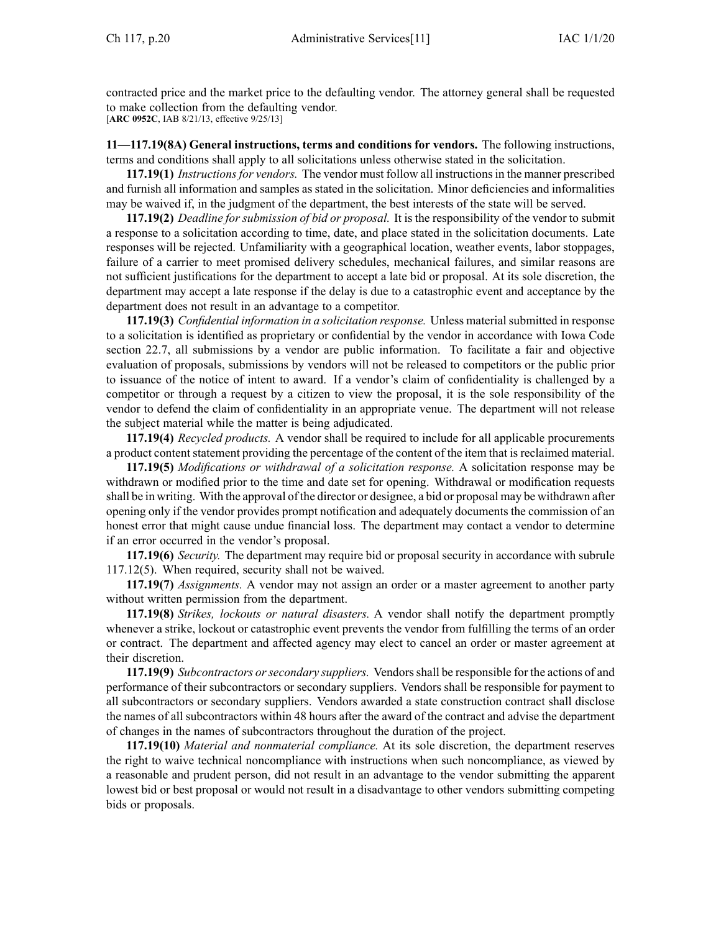contracted price and the market price to the defaulting vendor. The attorney general shall be requested to make collection from the defaulting vendor. [**ARC [0952C](https://www.legis.iowa.gov/docs/aco/arc/0952C.pdf)**, IAB 8/21/13, effective 9/25/13]

**11—117.19(8A) General instructions, terms and conditions for vendors.** The following instructions, terms and conditions shall apply to all solicitations unless otherwise stated in the solicitation.

**117.19(1)** *Instructionsfor vendors.* The vendor must follow all instructionsin the manner prescribed and furnish all information and samples as stated in the solicitation. Minor deficiencies and informalities may be waived if, in the judgment of the department, the best interests of the state will be served.

**117.19(2)** *Deadline for submission of bid or proposal.* It is the responsibility of the vendor to submit <sup>a</sup> response to <sup>a</sup> solicitation according to time, date, and place stated in the solicitation documents. Late responses will be rejected. Unfamiliarity with <sup>a</sup> geographical location, weather events, labor stoppages, failure of <sup>a</sup> carrier to meet promised delivery schedules, mechanical failures, and similar reasons are not sufficient justifications for the department to accep<sup>t</sup> <sup>a</sup> late bid or proposal. At its sole discretion, the department may accep<sup>t</sup> <sup>a</sup> late response if the delay is due to <sup>a</sup> catastrophic event and acceptance by the department does not result in an advantage to <sup>a</sup> competitor.

**117.19(3)** *Confidential information in a solicitation response.* Unless material submitted in response to <sup>a</sup> solicitation is identified as proprietary or confidential by the vendor in accordance with Iowa Code section [22.7](https://www.legis.iowa.gov/docs/ico/section/22.7.pdf), all submissions by <sup>a</sup> vendor are public information. To facilitate <sup>a</sup> fair and objective evaluation of proposals, submissions by vendors will not be released to competitors or the public prior to issuance of the notice of intent to award. If <sup>a</sup> vendor's claim of confidentiality is challenged by <sup>a</sup> competitor or through <sup>a</sup> reques<sup>t</sup> by <sup>a</sup> citizen to view the proposal, it is the sole responsibility of the vendor to defend the claim of confidentiality in an appropriate venue. The department will not release the subject material while the matter is being adjudicated.

**117.19(4)** *Recycled products.* A vendor shall be required to include for all applicable procurements a product content statement providing the percentage of the content of the item that is reclaimed material.

**117.19(5)** *Modifications or withdrawal of <sup>a</sup> solicitation response.* A solicitation response may be withdrawn or modified prior to the time and date set for opening. Withdrawal or modification requests shall be in writing. With the approval of the director or designee, <sup>a</sup> bid or proposal may be withdrawn after opening only if the vendor provides promp<sup>t</sup> notification and adequately documents the commission of an honest error that might cause undue financial loss. The department may contact <sup>a</sup> vendor to determine if an error occurred in the vendor's proposal.

**117.19(6)** *Security.* The department may require bid or proposal security in accordance with subrule [117.12\(5\)](https://www.legis.iowa.gov/docs/iac/rule/11.117.12.pdf). When required, security shall not be waived.

**117.19(7)** *Assignments.* A vendor may not assign an order or <sup>a</sup> master agreemen<sup>t</sup> to another party without written permission from the department.

**117.19(8)** *Strikes, lockouts or natural disasters.* A vendor shall notify the department promptly whenever <sup>a</sup> strike, lockout or catastrophic event prevents the vendor from fulfilling the terms of an order or contract. The department and affected agency may elect to cancel an order or master agreemen<sup>t</sup> at their discretion.

**117.19(9)** *Subcontractors orsecondary suppliers.* Vendorsshall be responsible for the actions of and performance of their subcontractors or secondary suppliers. Vendors shall be responsible for paymen<sup>t</sup> to all subcontractors or secondary suppliers. Vendors awarded <sup>a</sup> state construction contract shall disclose the names of all subcontractors within 48 hours after the award of the contract and advise the department of changes in the names of subcontractors throughout the duration of the project.

**117.19(10)** *Material and nonmaterial compliance.* At its sole discretion, the department reserves the right to waive technical noncompliance with instructions when such noncompliance, as viewed by <sup>a</sup> reasonable and prudent person, did not result in an advantage to the vendor submitting the apparen<sup>t</sup> lowest bid or best proposal or would not result in <sup>a</sup> disadvantage to other vendors submitting competing bids or proposals.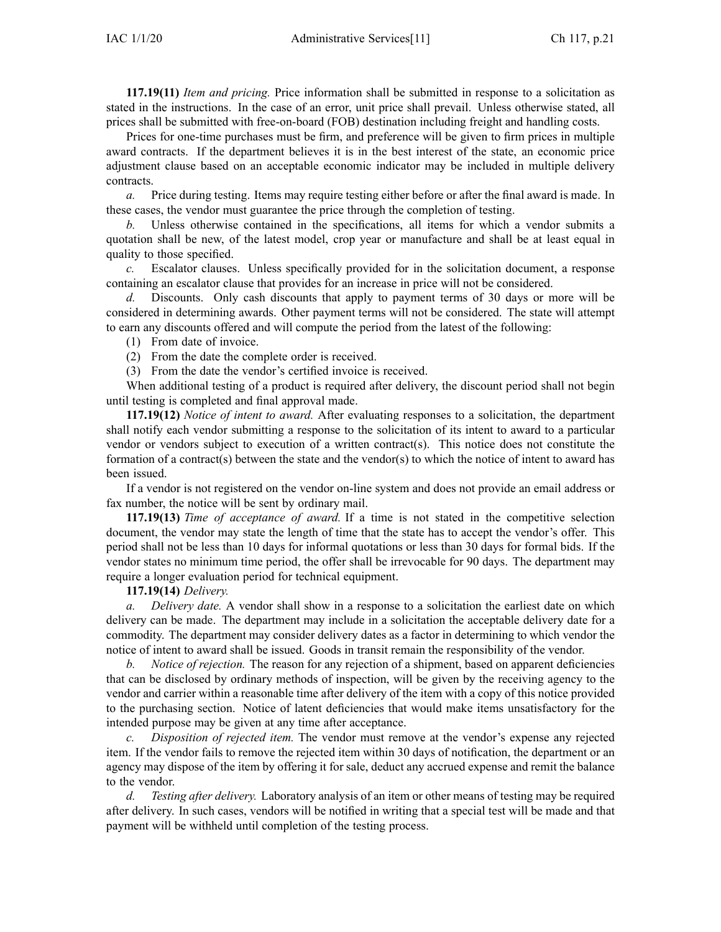**117.19(11)** *Item and pricing.* Price information shall be submitted in response to <sup>a</sup> solicitation as stated in the instructions. In the case of an error, unit price shall prevail. Unless otherwise stated, all prices shall be submitted with free-on-board (FOB) destination including freight and handling costs.

Prices for one-time purchases must be firm, and preference will be given to firm prices in multiple award contracts. If the department believes it is in the best interest of the state, an economic price adjustment clause based on an acceptable economic indicator may be included in multiple delivery contracts.

*a.* Price during testing. Items may require testing either before or after the final award is made. In these cases, the vendor must guarantee the price through the completion of testing.

*b.* Unless otherwise contained in the specifications, all items for which <sup>a</sup> vendor submits <sup>a</sup> quotation shall be new, of the latest model, crop year or manufacture and shall be at least equal in quality to those specified.

*c.* Escalator clauses. Unless specifically provided for in the solicitation document, <sup>a</sup> response containing an escalator clause that provides for an increase in price will not be considered.

*d.* Discounts. Only cash discounts that apply to paymen<sup>t</sup> terms of 30 days or more will be considered in determining awards. Other paymen<sup>t</sup> terms will not be considered. The state will attempt to earn any discounts offered and will compute the period from the latest of the following:

(1) From date of invoice.

(2) From the date the complete order is received.

(3) From the date the vendor's certified invoice is received.

When additional testing of <sup>a</sup> product is required after delivery, the discount period shall not begin until testing is completed and final approval made.

**117.19(12)** *Notice of intent to award.* After evaluating responses to <sup>a</sup> solicitation, the department shall notify each vendor submitting <sup>a</sup> response to the solicitation of its intent to award to <sup>a</sup> particular vendor or vendors subject to execution of <sup>a</sup> written contract(s). This notice does not constitute the formation of <sup>a</sup> contract(s) between the state and the vendor(s) to which the notice of intent to award has been issued.

If <sup>a</sup> vendor is not registered on the vendor on-line system and does not provide an email address or fax number, the notice will be sent by ordinary mail.

**117.19(13)** *Time of acceptance of award.* If <sup>a</sup> time is not stated in the competitive selection document, the vendor may state the length of time that the state has to accep<sup>t</sup> the vendor's offer. This period shall not be less than 10 days for informal quotations or less than 30 days for formal bids. If the vendor states no minimum time period, the offer shall be irrevocable for 90 days. The department may require <sup>a</sup> longer evaluation period for technical equipment.

# **117.19(14)** *Delivery.*

*a. Delivery date.* A vendor shall show in <sup>a</sup> response to <sup>a</sup> solicitation the earliest date on which delivery can be made. The department may include in <sup>a</sup> solicitation the acceptable delivery date for <sup>a</sup> commodity. The department may consider delivery dates as <sup>a</sup> factor in determining to which vendor the notice of intent to award shall be issued. Goods in transit remain the responsibility of the vendor.

*b. Notice of rejection.* The reason for any rejection of <sup>a</sup> shipment, based on apparen<sup>t</sup> deficiencies that can be disclosed by ordinary methods of inspection, will be given by the receiving agency to the vendor and carrier within <sup>a</sup> reasonable time after delivery of the item with <sup>a</sup> copy of this notice provided to the purchasing section. Notice of latent deficiencies that would make items unsatisfactory for the intended purpose may be given at any time after acceptance.

*c. Disposition of rejected item.* The vendor must remove at the vendor's expense any rejected item. If the vendor fails to remove the rejected item within 30 days of notification, the department or an agency may dispose of the item by offering it for sale, deduct any accrued expense and remit the balance to the vendor.

*d. Testing after delivery.* Laboratory analysis of an item or other means of testing may be required after delivery. In such cases, vendors will be notified in writing that <sup>a</sup> special test will be made and that paymen<sup>t</sup> will be withheld until completion of the testing process.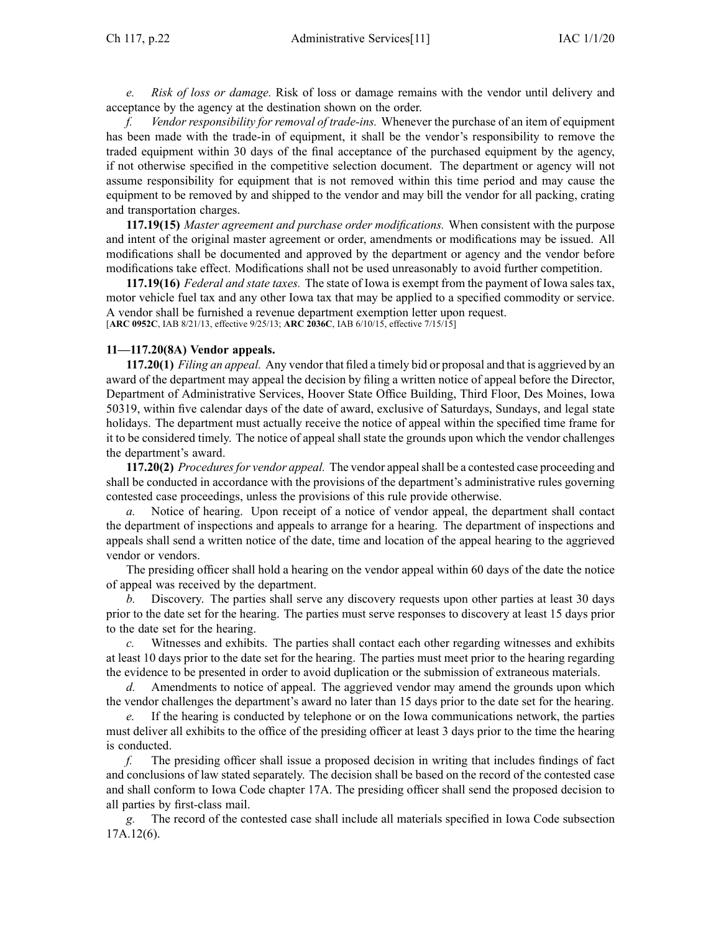*e. Risk of loss or damage.* Risk of loss or damage remains with the vendor until delivery and acceptance by the agency at the destination shown on the order.

*f. Vendor responsibility for removal of trade-ins.* Whenever the purchase of an item of equipment has been made with the trade-in of equipment, it shall be the vendor's responsibility to remove the traded equipment within 30 days of the final acceptance of the purchased equipment by the agency, if not otherwise specified in the competitive selection document. The department or agency will not assume responsibility for equipment that is not removed within this time period and may cause the equipment to be removed by and shipped to the vendor and may bill the vendor for all packing, crating and transportation charges.

**117.19(15)** *Master agreemen<sup>t</sup> and purchase order modifications.* When consistent with the purpose and intent of the original master agreemen<sup>t</sup> or order, amendments or modifications may be issued. All modifications shall be documented and approved by the department or agency and the vendor before modifications take effect. Modifications shall not be used unreasonably to avoid further competition.

**117.19(16)** *Federal and state taxes.* The state of Iowa is exemp<sup>t</sup> from the paymen<sup>t</sup> of Iowa sales tax, motor vehicle fuel tax and any other Iowa tax that may be applied to <sup>a</sup> specified commodity or service. A vendor shall be furnished <sup>a</sup> revenue department exemption letter upon request. [**ARC [0952C](https://www.legis.iowa.gov/docs/aco/arc/0952C.pdf)**, IAB 8/21/13, effective 9/25/13; **ARC [2036C](https://www.legis.iowa.gov/docs/aco/arc/2036C.pdf)**, IAB 6/10/15, effective 7/15/15]

#### **11—117.20(8A) Vendor appeals.**

**117.20(1)** *Filing an appeal.* Any vendor that filed <sup>a</sup> timely bid or proposal and that is aggrieved by an award of the department may appeal the decision by filing <sup>a</sup> written notice of appeal before the Director, Department of Administrative Services, Hoover State Office Building, Third Floor, Des Moines, Iowa 50319, within five calendar days of the date of award, exclusive of Saturdays, Sundays, and legal state holidays. The department must actually receive the notice of appeal within the specified time frame for it to be considered timely. The notice of appeal shall state the grounds upon which the vendor challenges the department's award.

**117.20(2)** *Proceduresfor vendor appeal.* The vendor appealshall be <sup>a</sup> contested case proceeding and shall be conducted in accordance with the provisions of the department's administrative rules governing contested case proceedings, unless the provisions of this rule provide otherwise.

*a.* Notice of hearing. Upon receipt of <sup>a</sup> notice of vendor appeal, the department shall contact the department of inspections and appeals to arrange for <sup>a</sup> hearing. The department of inspections and appeals shall send <sup>a</sup> written notice of the date, time and location of the appeal hearing to the aggrieved vendor or vendors.

The presiding officer shall hold <sup>a</sup> hearing on the vendor appeal within 60 days of the date the notice of appeal was received by the department.

*b.* Discovery. The parties shall serve any discovery requests upon other parties at least 30 days prior to the date set for the hearing. The parties must serve responses to discovery at least 15 days prior to the date set for the hearing.

Witnesses and exhibits. The parties shall contact each other regarding witnesses and exhibits at least 10 days prior to the date set for the hearing. The parties must meet prior to the hearing regarding the evidence to be presented in order to avoid duplication or the submission of extraneous materials.

*d.* Amendments to notice of appeal. The aggrieved vendor may amend the grounds upon which the vendor challenges the department's award no later than 15 days prior to the date set for the hearing.

*e.* If the hearing is conducted by telephone or on the Iowa communications network, the parties must deliver all exhibits to the office of the presiding officer at least 3 days prior to the time the hearing is conducted.

*f.* The presiding officer shall issue <sup>a</sup> proposed decision in writing that includes findings of fact and conclusions of law stated separately. The decision shall be based on the record of the contested case and shall conform to Iowa Code chapter [17A](https://www.legis.iowa.gov/docs/ico/chapter/17A.pdf). The presiding officer shall send the proposed decision to all parties by first-class mail.

*g.* The record of the contested case shall include all materials specified in Iowa Code subsection [17A.12\(6\)](https://www.legis.iowa.gov/docs/ico/section/17A.12.pdf).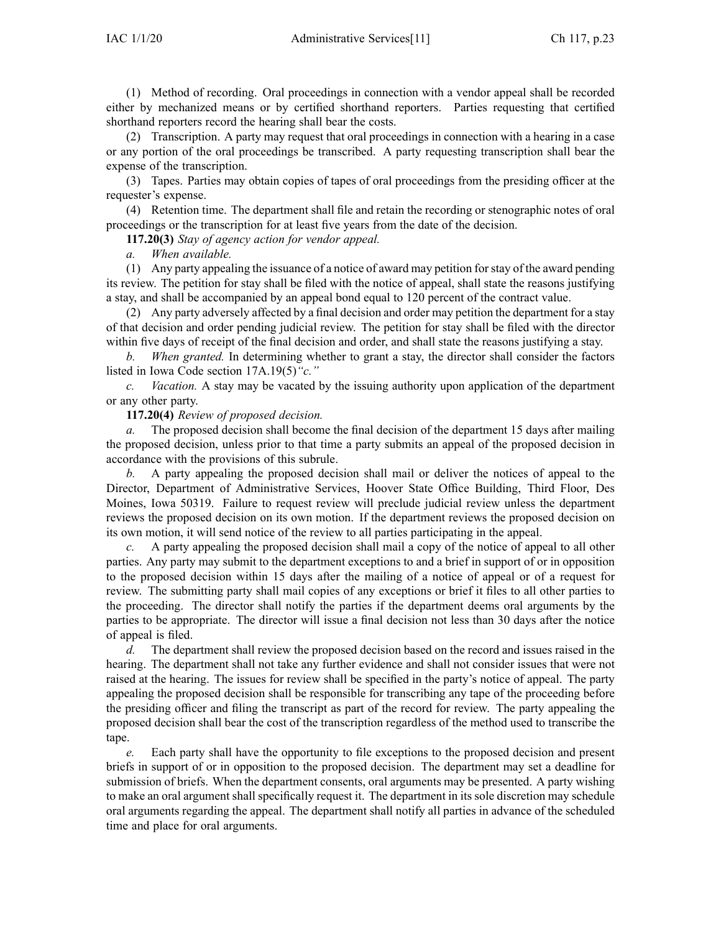(1) Method of recording. Oral proceedings in connection with <sup>a</sup> vendor appeal shall be recorded either by mechanized means or by certified shorthand reporters. Parties requesting that certified shorthand reporters record the hearing shall bear the costs.

(2) Transcription. A party may reques<sup>t</sup> that oral proceedings in connection with <sup>a</sup> hearing in <sup>a</sup> case or any portion of the oral proceedings be transcribed. A party requesting transcription shall bear the expense of the transcription.

(3) Tapes. Parties may obtain copies of tapes of oral proceedings from the presiding officer at the requester's expense.

(4) Retention time. The department shall file and retain the recording or stenographic notes of oral proceedings or the transcription for at least five years from the date of the decision.

**117.20(3)** *Stay of agency action for vendor appeal.*

*a. When available.*

(1) Any party appealing the issuance of <sup>a</sup> notice of award may petition forstay of the award pending its review. The petition for stay shall be filed with the notice of appeal, shall state the reasons justifying <sup>a</sup> stay, and shall be accompanied by an appeal bond equal to 120 percen<sup>t</sup> of the contract value.

(2) Any party adversely affected by <sup>a</sup> final decision and order may petition the department for <sup>a</sup> stay of that decision and order pending judicial review. The petition for stay shall be filed with the director within five days of receipt of the final decision and order, and shall state the reasons justifying <sup>a</sup> stay.

*b. When granted.* In determining whether to gran<sup>t</sup> <sup>a</sup> stay, the director shall consider the factors listed in Iowa Code section [17A.19\(5\)](https://www.legis.iowa.gov/docs/ico/section/17A.19.pdf)*"c."*

*c. Vacation.* A stay may be vacated by the issuing authority upon application of the department or any other party.

### **117.20(4)** *Review of proposed decision.*

*a.* The proposed decision shall become the final decision of the department 15 days after mailing the proposed decision, unless prior to that time <sup>a</sup> party submits an appeal of the proposed decision in accordance with the provisions of this subrule.

*b.* A party appealing the proposed decision shall mail or deliver the notices of appeal to the Director, Department of Administrative Services, Hoover State Office Building, Third Floor, Des Moines, Iowa 50319. Failure to reques<sup>t</sup> review will preclude judicial review unless the department reviews the proposed decision on its own motion. If the department reviews the proposed decision on its own motion, it will send notice of the review to all parties participating in the appeal.

*c.* A party appealing the proposed decision shall mail <sup>a</sup> copy of the notice of appeal to all other parties. Any party may submit to the department exceptions to and <sup>a</sup> brief in suppor<sup>t</sup> of or in opposition to the proposed decision within 15 days after the mailing of <sup>a</sup> notice of appeal or of <sup>a</sup> reques<sup>t</sup> for review. The submitting party shall mail copies of any exceptions or brief it files to all other parties to the proceeding. The director shall notify the parties if the department deems oral arguments by the parties to be appropriate. The director will issue <sup>a</sup> final decision not less than 30 days after the notice of appeal is filed.

*d.* The department shall review the proposed decision based on the record and issues raised in the hearing. The department shall not take any further evidence and shall not consider issues that were not raised at the hearing. The issues for review shall be specified in the party's notice of appeal. The party appealing the proposed decision shall be responsible for transcribing any tape of the proceeding before the presiding officer and filing the transcript as par<sup>t</sup> of the record for review. The party appealing the proposed decision shall bear the cost of the transcription regardless of the method used to transcribe the tape.

*e.* Each party shall have the opportunity to file exceptions to the proposed decision and presen<sup>t</sup> briefs in suppor<sup>t</sup> of or in opposition to the proposed decision. The department may set <sup>a</sup> deadline for submission of briefs. When the department consents, oral arguments may be presented. A party wishing to make an oral argumen<sup>t</sup> shall specifically reques<sup>t</sup> it. The department in its sole discretion may schedule oral arguments regarding the appeal. The department shall notify all parties in advance of the scheduled time and place for oral arguments.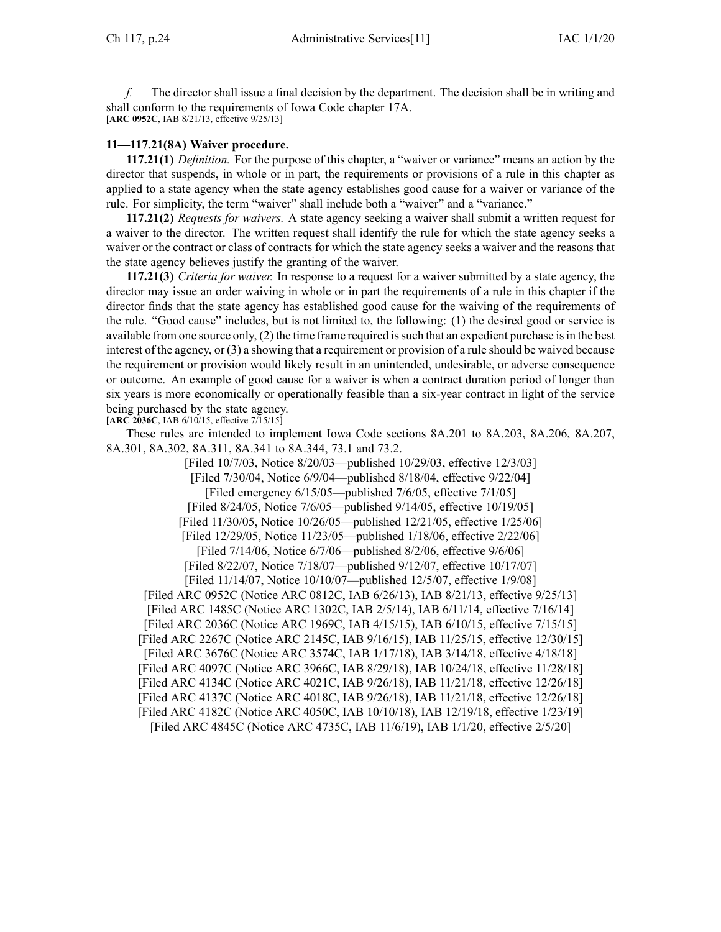*f.* The director shall issue <sup>a</sup> final decision by the department. The decision shall be in writing and shall conform to the requirements of Iowa Code chapter [17A](https://www.legis.iowa.gov/docs/ico/chapter/17A.pdf). [**ARC [0952C](https://www.legis.iowa.gov/docs/aco/arc/0952C.pdf)**, IAB 8/21/13, effective 9/25/13]

#### **11—117.21(8A) Waiver procedure.**

**117.21(1)** *Definition.* For the purpose of this chapter, <sup>a</sup> "waiver or variance" means an action by the director that suspends, in whole or in part, the requirements or provisions of <sup>a</sup> rule in this chapter as applied to <sup>a</sup> state agency when the state agency establishes good cause for <sup>a</sup> waiver or variance of the rule. For simplicity, the term "waiver" shall include both <sup>a</sup> "waiver" and <sup>a</sup> "variance."

**117.21(2)** *Requests for waivers.* A state agency seeking <sup>a</sup> waiver shall submit <sup>a</sup> written reques<sup>t</sup> for <sup>a</sup> waiver to the director. The written reques<sup>t</sup> shall identify the rule for which the state agency seeks <sup>a</sup> waiver or the contract or class of contracts for which the state agency seeks <sup>a</sup> waiver and the reasons that the state agency believes justify the granting of the waiver.

**117.21(3)** *Criteria for waiver.* In response to <sup>a</sup> reques<sup>t</sup> for <sup>a</sup> waiver submitted by <sup>a</sup> state agency, the director may issue an order waiving in whole or in par<sup>t</sup> the requirements of <sup>a</sup> rule in this chapter if the director finds that the state agency has established good cause for the waiving of the requirements of the rule. "Good cause" includes, but is not limited to, the following: (1) the desired good or service is available from one source only, (2) the time frame required issuch that an expedient purchase isin the best interest of the agency, or (3) <sup>a</sup> showing that <sup>a</sup> requirement or provision of <sup>a</sup> rule should be waived because the requirement or provision would likely result in an unintended, undesirable, or adverse consequence or outcome. An example of good cause for <sup>a</sup> waiver is when <sup>a</sup> contract duration period of longer than six years is more economically or operationally feasible than <sup>a</sup> six-year contract in light of the service being purchased by the state agency.

[**ARC [2036C](https://www.legis.iowa.gov/docs/aco/arc/2036C.pdf)**, IAB 6/10/15, effective 7/15/15]

These rules are intended to implement Iowa Code sections 8A.201 to [8A.203](https://www.legis.iowa.gov/docs/ico/section/8A.201-203.pdf), [8A.206](https://www.legis.iowa.gov/docs/ico/section/8A.206.pdf), [8A.207](https://www.legis.iowa.gov/docs/ico/section/8A.207.pdf), [8A.301](https://www.legis.iowa.gov/docs/ico/section/8A.301.pdf), [8A.302](https://www.legis.iowa.gov/docs/ico/section/8A.302.pdf), [8A.311](https://www.legis.iowa.gov/docs/ico/section/8A.311.pdf), 8A.341 to [8A.344](https://www.legis.iowa.gov/docs/ico/section/8A.341-344.pdf), [73.1](https://www.legis.iowa.gov/docs/ico/section/73.1.pdf) and [73.2](https://www.legis.iowa.gov/docs/ico/section/73.2.pdf).

[Filed 10/7/03, Notice 8/20/03—published 10/29/03, effective 12/3/03] [Filed 7/30/04, Notice 6/9/04—published 8/18/04, effective 9/22/04] [Filed emergency 6/15/05—published 7/6/05, effective 7/1/05] [Filed 8/24/05, Notice 7/6/05—published 9/14/05, effective 10/19/05] [Filed 11/30/05, Notice 10/26/05—published 12/21/05, effective 1/25/06] [Filed 12/29/05, Notice 11/23/05—published 1/18/06, effective 2/22/06] [Filed 7/14/06, Notice 6/7/06—published 8/2/06, effective 9/6/06] [Filed 8/22/07, Notice 7/18/07—published 9/12/07, effective 10/17/07] [Filed 11/14/07, Notice 10/10/07—published 12/5/07, effective 1/9/08] [Filed ARC [0952C](https://www.legis.iowa.gov/docs/aco/arc/0952C.pdf) ([Notice](https://www.legis.iowa.gov/docs/aco/arc/0812C.pdf) ARC 0812C, IAB 6/26/13), IAB 8/21/13, effective 9/25/13] [\[Filed](https://www.legis.iowa.gov/docs/aco/arc/1485C.pdf) ARC 1485C ([Notice](https://www.legis.iowa.gov/docs/aco/arc/1302C.pdf) ARC 1302C, IAB 2/5/14), IAB 6/11/14, effective 7/16/14] [Filed ARC [2036C](https://www.legis.iowa.gov/docs/aco/arc/2036C.pdf) ([Notice](https://www.legis.iowa.gov/docs/aco/arc/1969C.pdf) ARC 1969C, IAB 4/15/15), IAB 6/10/15, effective 7/15/15] [[Filed](https://www.legis.iowa.gov/docs/aco/arc/2267C.pdf) ARC 2267C ([Notice](https://www.legis.iowa.gov/docs/aco/arc/2145C.pdf) ARC 2145C, IAB 9/16/15), IAB 11/25/15, effective 12/30/15] [Filed ARC [3676C](https://www.legis.iowa.gov/docs/aco/arc/3676C.pdf) ([Notice](https://www.legis.iowa.gov/docs/aco/arc/3574C.pdf) ARC 3574C, IAB 1/17/18), IAB 3/14/18, effective 4/18/18] [Filed ARC [4097C](https://www.legis.iowa.gov/docs/aco/arc/4097C.pdf) ([Notice](https://www.legis.iowa.gov/docs/aco/arc/3966C.pdf) ARC 3966C, IAB 8/29/18), IAB 10/24/18, effective 11/28/18] [Filed ARC [4134C](https://www.legis.iowa.gov/docs/aco/arc/4134C.pdf) ([Notice](https://www.legis.iowa.gov/docs/aco/arc/4021C.pdf) ARC 4021C, IAB 9/26/18), IAB 11/21/18, effective 12/26/18] [Filed ARC [4137C](https://www.legis.iowa.gov/docs/aco/arc/4137C.pdf) ([Notice](https://www.legis.iowa.gov/docs/aco/arc/4018C.pdf) ARC 4018C, IAB 9/26/18), IAB 11/21/18, effective 12/26/18] [Filed ARC [4182C](https://www.legis.iowa.gov/docs/aco/arc/4182C.pdf) ([Notice](https://www.legis.iowa.gov/docs/aco/arc/4050C.pdf) ARC 4050C, IAB 10/10/18), IAB 12/19/18, effective 1/23/19] [Filed ARC [4845C](https://www.legis.iowa.gov/docs/aco/arc/4845C.pdf) ([Notice](https://www.legis.iowa.gov/docs/aco/arc/4735C.pdf) ARC 4735C, IAB 11/6/19), IAB 1/1/20, effective 2/5/20]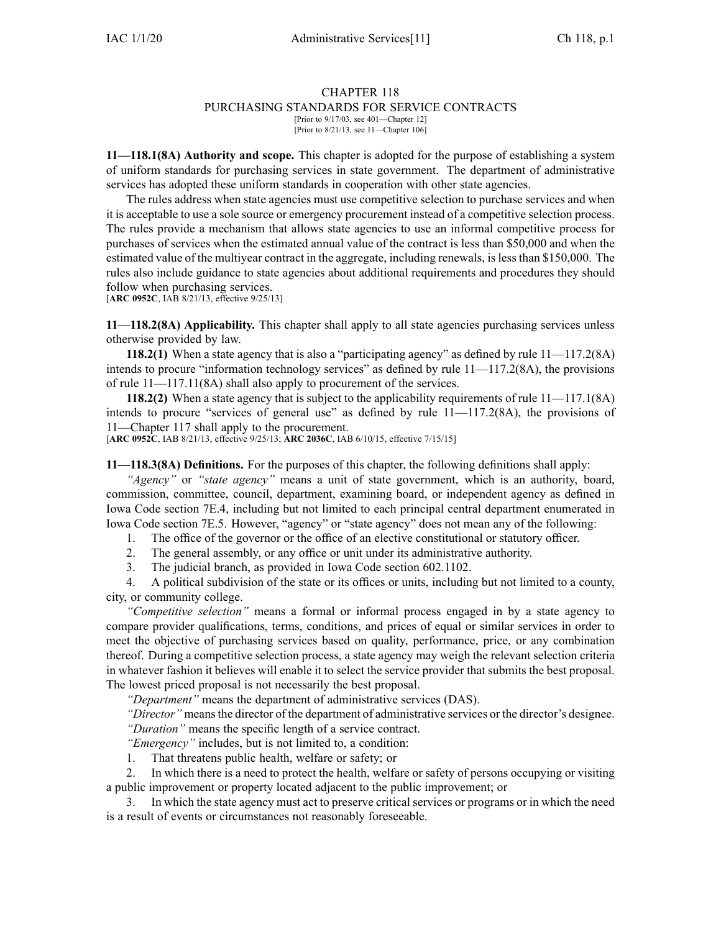#### CHAPTER 118 PURCHASING STANDARDS FOR SERVICE CONTRACTS [Prior to 9/17/03, see 401—Chapter 12]

[Prior to 8/21/13, see 11—Chapter 106]

**11—118.1(8A) Authority and scope.** This chapter is adopted for the purpose of establishing <sup>a</sup> system of uniform standards for purchasing services in state government. The department of administrative services has adopted these uniform standards in cooperation with other state agencies.

The rules address when state agencies must use competitive selection to purchase services and when it is acceptable to use <sup>a</sup> sole source or emergency procuremen<sup>t</sup> instead of <sup>a</sup> competitive selection process. The rules provide <sup>a</sup> mechanism that allows state agencies to use an informal competitive process for purchases of services when the estimated annual value of the contract is less than \$50,000 and when the estimated value of the multiyear contract in the aggregate, including renewals, islessthan \$150,000. The rules also include guidance to state agencies about additional requirements and procedures they should follow when purchasing services.

[**ARC [0952C](https://www.legis.iowa.gov/docs/aco/arc/0952C.pdf)**, IAB 8/21/13, effective 9/25/13]

**11—118.2(8A) Applicability.** This chapter shall apply to all state agencies purchasing services unless otherwise provided by law.

**118.2(1)** When a state agency that is also a "participating agency" as defined by rule [11—117.2\(](https://www.legis.iowa.gov/docs/iac/rule/11.117.2.pdf)8A) intends to procure "information technology services" as defined by rule  $11$ — $117.2(8A)$ , the provisions of rule [11—117.11](https://www.legis.iowa.gov/docs/iac/rule/11.117.11.pdf)(8A) shall also apply to procuremen<sup>t</sup> of the services.

**118.2(2)** When <sup>a</sup> state agency that is subject to the applicability requirements of rule [11—117.1\(](https://www.legis.iowa.gov/docs/iac/rule/11.117.1.pdf)8A) intends to procure "services of general use" as defined by rule [11—117.2](https://www.legis.iowa.gov/docs/iac/rule/11.117.2.pdf)(8A), the provisions of [11—Chapter](https://www.legis.iowa.gov/docs/iac/chapter/11.117.pdf) 117 shall apply to the procurement.

[**ARC [0952C](https://www.legis.iowa.gov/docs/aco/arc/0952C.pdf)**, IAB 8/21/13, effective 9/25/13; **ARC [2036C](https://www.legis.iowa.gov/docs/aco/arc/2036C.pdf)**, IAB 6/10/15, effective 7/15/15]

**11—118.3(8A) Definitions.** For the purposes of this chapter, the following definitions shall apply:

*"Agency"* or *"state agency"* means <sup>a</sup> unit of state government, which is an authority, board, commission, committee, council, department, examining board, or independent agency as defined in Iowa Code section [7E.4](https://www.legis.iowa.gov/docs/ico/section/7E.4.pdf), including but not limited to each principal central department enumerated in Iowa Code section [7E.5](https://www.legis.iowa.gov/docs/ico/section/7E.5.pdf). However, "agency" or "state agency" does not mean any of the following:

1. The office of the governor or the office of an elective constitutional or statutory officer.

- 2. The general assembly, or any office or unit under its administrative authority.
- 3. The judicial branch, as provided in Iowa Code section [602.1102](https://www.legis.iowa.gov/docs/ico/section/602.1102.pdf).

4. A political subdivision of the state or its offices or units, including but not limited to <sup>a</sup> county, city, or community college.

*"Competitive selection"* means <sup>a</sup> formal or informal process engaged in by <sup>a</sup> state agency to compare provider qualifications, terms, conditions, and prices of equal or similar services in order to meet the objective of purchasing services based on quality, performance, price, or any combination thereof. During <sup>a</sup> competitive selection process, <sup>a</sup> state agency may weigh the relevant selection criteria in whatever fashion it believes will enable it to select the service provider that submits the best proposal. The lowest priced proposal is not necessarily the best proposal.

*"Department"* means the department of administrative services (DAS).

*"Director"* means the director of the department of administrative services or the director's designee. *"Duration"* means the specific length of <sup>a</sup> service contract.

*"Emergency"* includes, but is not limited to, <sup>a</sup> condition:

1. That threatens public health, welfare or safety; or

2. In which there is <sup>a</sup> need to protect the health, welfare or safety of persons occupying or visiting <sup>a</sup> public improvement or property located adjacent to the public improvement; or

3. In which the state agency must act to preserve critical services or programs or in which the need is <sup>a</sup> result of events or circumstances not reasonably foreseeable.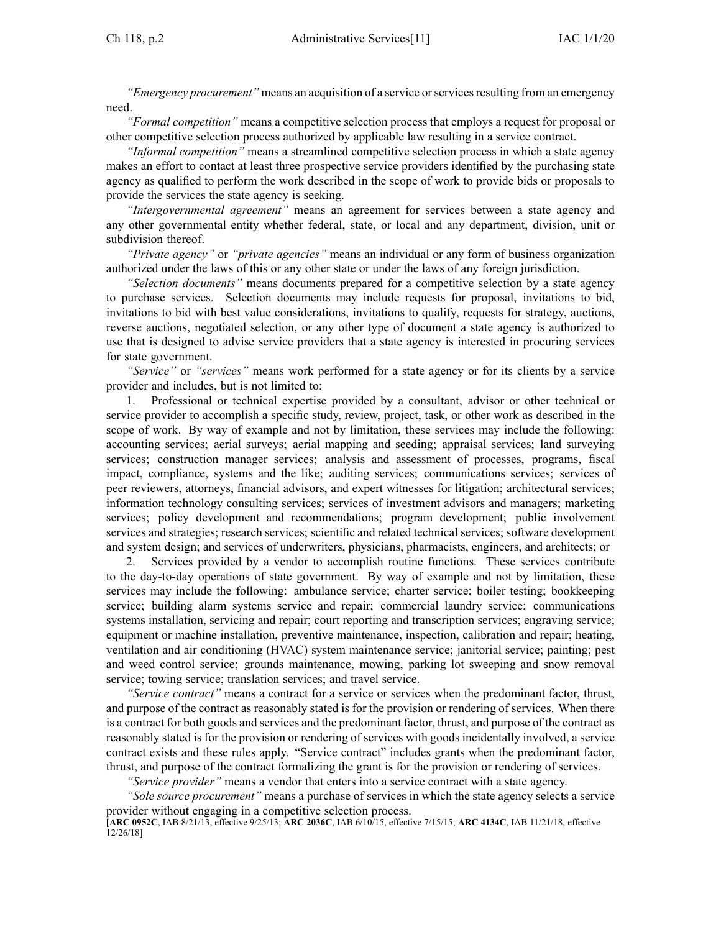*"Emergency procurement"* means an acquisition of a service or services resulting from an emergency need.

*"Formal competition"* means <sup>a</sup> competitive selection process that employs <sup>a</sup> reques<sup>t</sup> for proposal or other competitive selection process authorized by applicable law resulting in <sup>a</sup> service contract.

*"Informal competition"* means <sup>a</sup> streamlined competitive selection process in which <sup>a</sup> state agency makes an effort to contact at least three prospective service providers identified by the purchasing state agency as qualified to perform the work described in the scope of work to provide bids or proposals to provide the services the state agency is seeking.

*"Intergovernmental agreement"* means an agreemen<sup>t</sup> for services between <sup>a</sup> state agency and any other governmental entity whether federal, state, or local and any department, division, unit or subdivision thereof.

*"Private agency"* or *"private agencies"* means an individual or any form of business organization authorized under the laws of this or any other state or under the laws of any foreign jurisdiction.

*"Selection documents"* means documents prepared for <sup>a</sup> competitive selection by <sup>a</sup> state agency to purchase services. Selection documents may include requests for proposal, invitations to bid, invitations to bid with best value considerations, invitations to qualify, requests for strategy, auctions, reverse auctions, negotiated selection, or any other type of document <sup>a</sup> state agency is authorized to use that is designed to advise service providers that <sup>a</sup> state agency is interested in procuring services for state government.

*"Service"* or *"services"* means work performed for <sup>a</sup> state agency or for its clients by <sup>a</sup> service provider and includes, but is not limited to:

1. Professional or technical expertise provided by <sup>a</sup> consultant, advisor or other technical or service provider to accomplish <sup>a</sup> specific study, review, project, task, or other work as described in the scope of work. By way of example and not by limitation, these services may include the following: accounting services; aerial surveys; aerial mapping and seeding; appraisal services; land surveying services; construction manager services; analysis and assessment of processes, programs, fiscal impact, compliance, systems and the like; auditing services; communications services; services of peer reviewers, attorneys, financial advisors, and exper<sup>t</sup> witnesses for litigation; architectural services; information technology consulting services; services of investment advisors and managers; marketing services; policy development and recommendations; program development; public involvement services and strategies; research services; scientific and related technical services; software development and system design; and services of underwriters, physicians, pharmacists, engineers, and architects; or

2. Services provided by <sup>a</sup> vendor to accomplish routine functions. These services contribute to the day-to-day operations of state government. By way of example and not by limitation, these services may include the following: ambulance service; charter service; boiler testing; bookkeeping service; building alarm systems service and repair; commercial laundry service; communications systems installation, servicing and repair; court reporting and transcription services; engraving service; equipment or machine installation, preventive maintenance, inspection, calibration and repair; heating, ventilation and air conditioning (HVAC) system maintenance service; janitorial service; painting; pes<sup>t</sup> and weed control service; grounds maintenance, mowing, parking lot sweeping and snow removal service; towing service; translation services; and travel service.

*"Service contract"* means <sup>a</sup> contract for <sup>a</sup> service or services when the predominant factor, thrust, and purpose of the contract as reasonably stated is for the provision or rendering of services. When there is <sup>a</sup> contract for both goods and services and the predominant factor, thrust, and purpose of the contract as reasonably stated is for the provision or rendering of services with goods incidentally involved, <sup>a</sup> service contract exists and these rules apply. "Service contract" includes grants when the predominant factor, thrust, and purpose of the contract formalizing the gran<sup>t</sup> is for the provision or rendering of services.

*"Service provider"* means <sup>a</sup> vendor that enters into <sup>a</sup> service contract with <sup>a</sup> state agency.

*"Sole source procurement"* means <sup>a</sup> purchase of services in which the state agency selects <sup>a</sup> service provider without engaging in <sup>a</sup> competitive selection process.

<sup>[</sup>**ARC [0952C](https://www.legis.iowa.gov/docs/aco/arc/0952C.pdf)**, IAB 8/21/13, effective 9/25/13; **ARC [2036C](https://www.legis.iowa.gov/docs/aco/arc/2036C.pdf)**, IAB 6/10/15, effective 7/15/15; **ARC [4134C](https://www.legis.iowa.gov/docs/aco/arc/4134C.pdf)**, IAB 11/21/18, effective 12/26/18]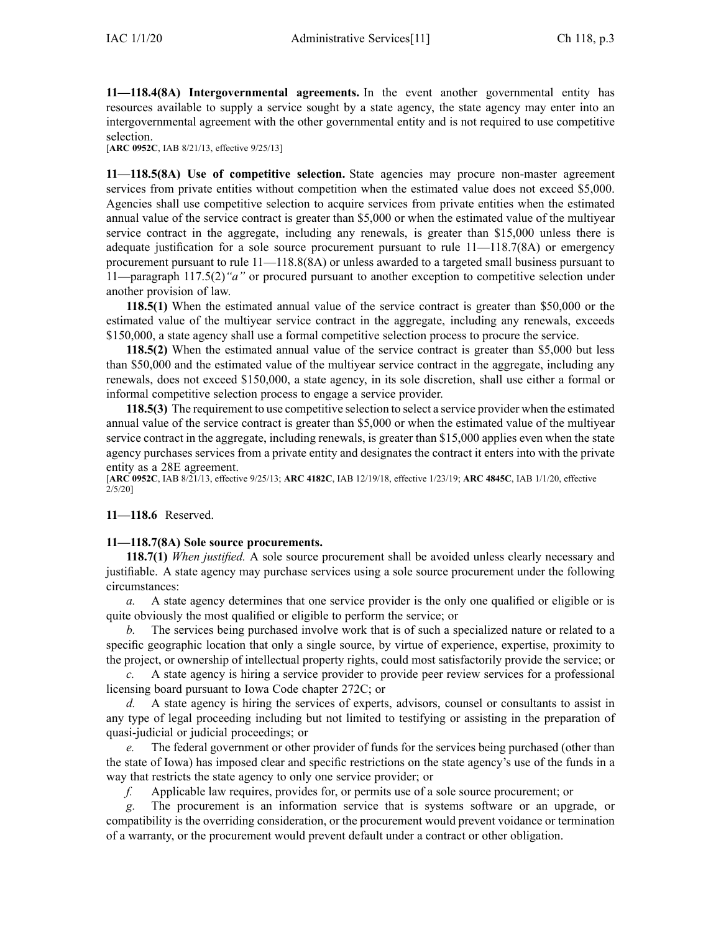**11—118.4(8A) Intergovernmental agreements.** In the event another governmental entity has resources available to supply <sup>a</sup> service sought by <sup>a</sup> state agency, the state agency may enter into an intergovernmental agreemen<sup>t</sup> with the other governmental entity and is not required to use competitive selection.

[**ARC [0952C](https://www.legis.iowa.gov/docs/aco/arc/0952C.pdf)**, IAB 8/21/13, effective 9/25/13]

**11—118.5(8A) Use of competitive selection.** State agencies may procure non-master agreemen<sup>t</sup> services from private entities without competition when the estimated value does not exceed \$5,000. Agencies shall use competitive selection to acquire services from private entities when the estimated annual value of the service contract is greater than \$5,000 or when the estimated value of the multiyear service contract in the aggregate, including any renewals, is greater than \$15,000 unless there is adequate justification for <sup>a</sup> sole source procuremen<sup>t</sup> pursuan<sup>t</sup> to rule [11—118.7](https://www.legis.iowa.gov/docs/iac/rule/11.118.7.pdf)(8A) or emergency procuremen<sup>t</sup> pursuan<sup>t</sup> to rule [11—118.8](https://www.legis.iowa.gov/docs/iac/rule/11.118.8.pdf)(8A) or unless awarded to <sup>a</sup> targeted small business pursuan<sup>t</sup> to [11—paragraph](https://www.legis.iowa.gov/docs/iac/rule/11.117.5.pdf) 117.5(2)*"a"* or procured pursuan<sup>t</sup> to another exception to competitive selection under another provision of law.

**118.5(1)** When the estimated annual value of the service contract is greater than \$50,000 or the estimated value of the multiyear service contract in the aggregate, including any renewals, exceeds \$150,000, <sup>a</sup> state agency shall use <sup>a</sup> formal competitive selection process to procure the service.

**118.5(2)** When the estimated annual value of the service contract is greater than \$5,000 but less than \$50,000 and the estimated value of the multiyear service contract in the aggregate, including any renewals, does not exceed \$150,000, <sup>a</sup> state agency, in its sole discretion, shall use either <sup>a</sup> formal or informal competitive selection process to engage <sup>a</sup> service provider.

**118.5(3)** The requirement to use competitive selection to select <sup>a</sup> service provider when the estimated annual value of the service contract is greater than \$5,000 or when the estimated value of the multiyear service contract in the aggregate, including renewals, is greater than \$15,000 applies even when the state agency purchases services from <sup>a</sup> private entity and designates the contract it enters into with the private entity as <sup>a</sup> 28E agreement.

[**ARC [0952C](https://www.legis.iowa.gov/docs/aco/arc/0952C.pdf)**, IAB 8/21/13, effective 9/25/13; **ARC [4182C](https://www.legis.iowa.gov/docs/aco/arc/4182C.pdf)**, IAB 12/19/18, effective 1/23/19; **ARC [4845C](https://www.legis.iowa.gov/docs/aco/arc/4845C.pdf)**, IAB 1/1/20, effective 2/5/20]

#### **11—118.6** Reserved.

#### **11—118.7(8A) Sole source procurements.**

**118.7(1)** *When justified.* A sole source procuremen<sup>t</sup> shall be avoided unless clearly necessary and justifiable. A state agency may purchase services using <sup>a</sup> sole source procuremen<sup>t</sup> under the following circumstances:

*a.* A state agency determines that one service provider is the only one qualified or eligible or is quite obviously the most qualified or eligible to perform the service; or

The services being purchased involve work that is of such a specialized nature or related to a specific geographic location that only <sup>a</sup> single source, by virtue of experience, expertise, proximity to the project, or ownership of intellectual property rights, could most satisfactorily provide the service; or

*c.* A state agency is hiring <sup>a</sup> service provider to provide peer review services for <sup>a</sup> professional licensing board pursuan<sup>t</sup> to Iowa Code chapter [272C](https://www.legis.iowa.gov/docs/ico/chapter/272C.pdf); or

*d.* A state agency is hiring the services of experts, advisors, counsel or consultants to assist in any type of legal proceeding including but not limited to testifying or assisting in the preparation of quasi-judicial or judicial proceedings; or

*e.* The federal governmen<sup>t</sup> or other provider of funds for the services being purchased (other than the state of Iowa) has imposed clear and specific restrictions on the state agency's use of the funds in <sup>a</sup> way that restricts the state agency to only one service provider; or

*f.* Applicable law requires, provides for, or permits use of <sup>a</sup> sole source procurement; or

*g.* The procuremen<sup>t</sup> is an information service that is systems software or an upgrade, or compatibility is the overriding consideration, or the procuremen<sup>t</sup> would preven<sup>t</sup> voidance or termination of <sup>a</sup> warranty, or the procuremen<sup>t</sup> would preven<sup>t</sup> default under <sup>a</sup> contract or other obligation.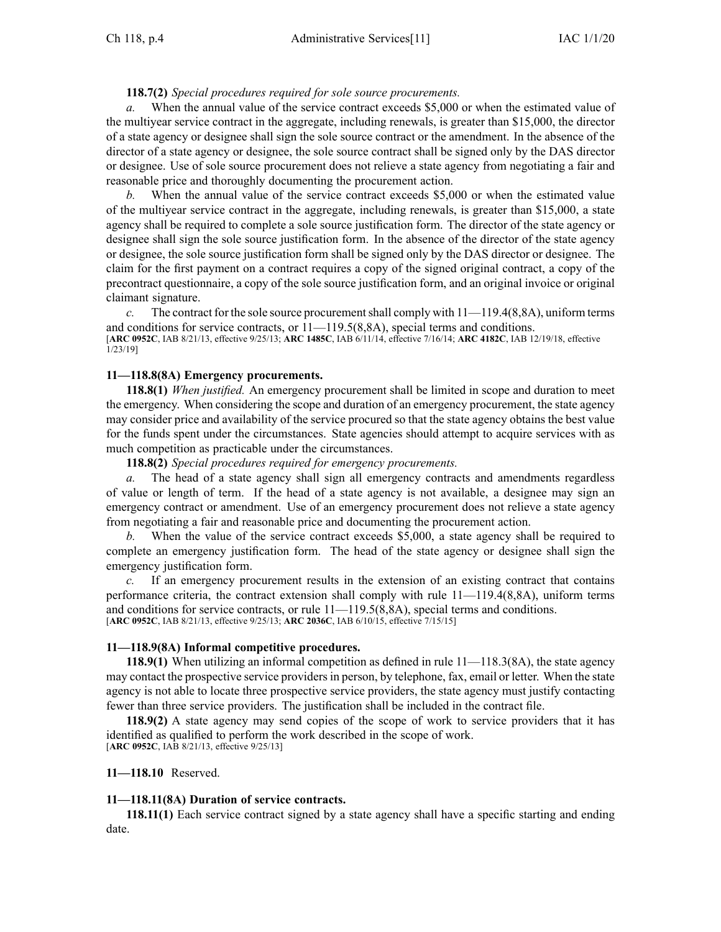**118.7(2)** *Special procedures required for sole source procurements.*

*a.* When the annual value of the service contract exceeds \$5,000 or when the estimated value of the multiyear service contract in the aggregate, including renewals, is greater than \$15,000, the director of <sup>a</sup> state agency or designee shall sign the sole source contract or the amendment. In the absence of the director of <sup>a</sup> state agency or designee, the sole source contract shall be signed only by the DAS director or designee. Use of sole source procuremen<sup>t</sup> does not relieve <sup>a</sup> state agency from negotiating <sup>a</sup> fair and reasonable price and thoroughly documenting the procuremen<sup>t</sup> action.

When the annual value of the service contract exceeds \$5,000 or when the estimated value of the multiyear service contract in the aggregate, including renewals, is greater than \$15,000, <sup>a</sup> state agency shall be required to complete <sup>a</sup> sole source justification form. The director of the state agency or designee shall sign the sole source justification form. In the absence of the director of the state agency or designee, the sole source justification form shall be signed only by the DAS director or designee. The claim for the first paymen<sup>t</sup> on <sup>a</sup> contract requires <sup>a</sup> copy of the signed original contract, <sup>a</sup> copy of the precontract questionnaire, <sup>a</sup> copy of the sole source justification form, and an original invoice or original claimant signature.

*c.* The contract for the sole source procurement shall comply with  $11-119.4(8,8A)$ , uniform terms and conditions for service contracts, or [11—119.5](https://www.legis.iowa.gov/docs/iac/rule/11.119.5.pdf)(8,8A), special terms and conditions. [**ARC [0952C](https://www.legis.iowa.gov/docs/aco/arc/0952C.pdf)**, IAB 8/21/13, effective 9/25/13; **ARC [1485C](https://www.legis.iowa.gov/docs/aco/arc/1485C.pdf)**, IAB 6/11/14, effective 7/16/14; **ARC [4182C](https://www.legis.iowa.gov/docs/aco/arc/4182C.pdf)**, IAB 12/19/18, effective 1/23/19]

# **11—118.8(8A) Emergency procurements.**

**118.8(1)** *When justified.* An emergency procuremen<sup>t</sup> shall be limited in scope and duration to meet the emergency. When considering the scope and duration of an emergency procurement, the state agency may consider price and availability of the service procured so that the state agency obtains the best value for the funds spen<sup>t</sup> under the circumstances. State agencies should attempt to acquire services with as much competition as practicable under the circumstances.

**118.8(2)** *Special procedures required for emergency procurements.*

*a.* The head of <sup>a</sup> state agency shall sign all emergency contracts and amendments regardless of value or length of term. If the head of <sup>a</sup> state agency is not available, <sup>a</sup> designee may sign an emergency contract or amendment. Use of an emergency procuremen<sup>t</sup> does not relieve <sup>a</sup> state agency from negotiating <sup>a</sup> fair and reasonable price and documenting the procuremen<sup>t</sup> action.

*b.* When the value of the service contract exceeds \$5,000, <sup>a</sup> state agency shall be required to complete an emergency justification form. The head of the state agency or designee shall sign the emergency justification form.

*c.* If an emergency procuremen<sup>t</sup> results in the extension of an existing contract that contains performance criteria, the contract extension shall comply with rule [11—119.4](https://www.legis.iowa.gov/docs/iac/rule/11.119.4.pdf)(8,8A), uniform terms and conditions for service contracts, or rule [11—119.5](https://www.legis.iowa.gov/docs/iac/rule/11.119.5.pdf)(8,8A), special terms and conditions. [**ARC [0952C](https://www.legis.iowa.gov/docs/aco/arc/0952C.pdf)**, IAB 8/21/13, effective 9/25/13; **ARC [2036C](https://www.legis.iowa.gov/docs/aco/arc/2036C.pdf)**, IAB 6/10/15, effective 7/15/15]

# **11—118.9(8A) Informal competitive procedures.**

**118.9(1)** When utilizing an informal competition as defined in rule [11—118.3](https://www.legis.iowa.gov/docs/iac/rule/11.118.3.pdf)(8A), the state agency may contact the prospective service providersin person, by telephone, fax, email or letter. When the state agency is not able to locate three prospective service providers, the state agency must justify contacting fewer than three service providers. The justification shall be included in the contract file.

**118.9(2)** A state agency may send copies of the scope of work to service providers that it has identified as qualified to perform the work described in the scope of work. [**ARC [0952C](https://www.legis.iowa.gov/docs/aco/arc/0952C.pdf)**, IAB 8/21/13, effective 9/25/13]

# **11—118.10** Reserved.

### **11—118.11(8A) Duration of service contracts.**

**118.11(1)** Each service contract signed by <sup>a</sup> state agency shall have <sup>a</sup> specific starting and ending date.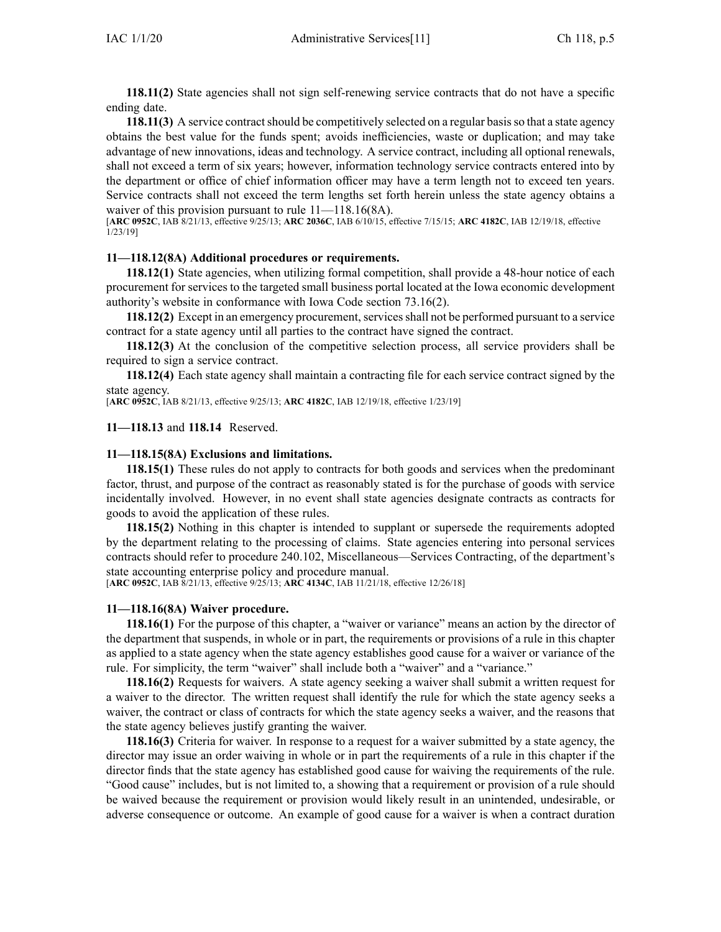**118.11(2)** State agencies shall not sign self-renewing service contracts that do not have <sup>a</sup> specific ending date.

**118.11(3)** A service contract should be competitively selected on a regular basis so that a state agency obtains the best value for the funds spent; avoids inefficiencies, waste or duplication; and may take advantage of new innovations, ideas and technology. A service contract, including all optional renewals, shall not exceed <sup>a</sup> term of six years; however, information technology service contracts entered into by the department or office of chief information officer may have <sup>a</sup> term length not to exceed ten years. Service contracts shall not exceed the term lengths set forth herein unless the state agency obtains <sup>a</sup> waiver of this provision pursuant to rule  $11$ — $118.16(8A)$ .

[**ARC [0952C](https://www.legis.iowa.gov/docs/aco/arc/0952C.pdf)**, IAB 8/21/13, effective 9/25/13; **ARC [2036C](https://www.legis.iowa.gov/docs/aco/arc/2036C.pdf)**, IAB 6/10/15, effective 7/15/15; **ARC [4182C](https://www.legis.iowa.gov/docs/aco/arc/4182C.pdf)**, IAB 12/19/18, effective 1/23/19]

# **11—118.12(8A) Additional procedures or requirements.**

**118.12(1)** State agencies, when utilizing formal competition, shall provide <sup>a</sup> 48-hour notice of each procuremen<sup>t</sup> for services to the targeted small business portal located at the Iowa economic development authority's website in conformance with Iowa Code section [73.16\(2\)](https://www.legis.iowa.gov/docs/ico/section/73.16.pdf).

**118.12(2)** Except in an emergency procurement, services shall not be performed pursuant to a service contract for <sup>a</sup> state agency until all parties to the contract have signed the contract.

**118.12(3)** At the conclusion of the competitive selection process, all service providers shall be required to sign <sup>a</sup> service contract.

**118.12(4)** Each state agency shall maintain <sup>a</sup> contracting file for each service contract signed by the state agency.

[**ARC [0952C](https://www.legis.iowa.gov/docs/aco/arc/0952C.pdf)**, IAB 8/21/13, effective 9/25/13; **ARC [4182C](https://www.legis.iowa.gov/docs/aco/arc/4182C.pdf)**, IAB 12/19/18, effective 1/23/19]

### **11—118.13** and **118.14** Reserved.

### **11—118.15(8A) Exclusions and limitations.**

**118.15(1)** These rules do not apply to contracts for both goods and services when the predominant factor, thrust, and purpose of the contract as reasonably stated is for the purchase of goods with service incidentally involved. However, in no event shall state agencies designate contracts as contracts for goods to avoid the application of these rules.

**118.15(2)** Nothing in this chapter is intended to supplant or supersede the requirements adopted by the department relating to the processing of claims. State agencies entering into personal services contracts should refer to procedure 240.102, Miscellaneous—Services Contracting, of the department's state accounting enterprise policy and procedure manual.

[**ARC [0952C](https://www.legis.iowa.gov/docs/aco/arc/0952C.pdf)**, IAB 8/21/13, effective 9/25/13; **ARC [4134C](https://www.legis.iowa.gov/docs/aco/arc/4134C.pdf)**, IAB 11/21/18, effective 12/26/18]

#### **11—118.16(8A) Waiver procedure.**

**118.16(1)** For the purpose of this chapter, <sup>a</sup> "waiver or variance" means an action by the director of the department that suspends, in whole or in part, the requirements or provisions of <sup>a</sup> rule in this chapter as applied to <sup>a</sup> state agency when the state agency establishes good cause for <sup>a</sup> waiver or variance of the rule. For simplicity, the term "waiver" shall include both <sup>a</sup> "waiver" and <sup>a</sup> "variance."

**118.16(2)** Requests for waivers. A state agency seeking <sup>a</sup> waiver shall submit <sup>a</sup> written reques<sup>t</sup> for <sup>a</sup> waiver to the director. The written reques<sup>t</sup> shall identify the rule for which the state agency seeks <sup>a</sup> waiver, the contract or class of contracts for which the state agency seeks <sup>a</sup> waiver, and the reasons that the state agency believes justify granting the waiver.

**118.16(3)** Criteria for waiver. In response to <sup>a</sup> reques<sup>t</sup> for <sup>a</sup> waiver submitted by <sup>a</sup> state agency, the director may issue an order waiving in whole or in par<sup>t</sup> the requirements of <sup>a</sup> rule in this chapter if the director finds that the state agency has established good cause for waiving the requirements of the rule. "Good cause" includes, but is not limited to, <sup>a</sup> showing that <sup>a</sup> requirement or provision of <sup>a</sup> rule should be waived because the requirement or provision would likely result in an unintended, undesirable, or adverse consequence or outcome. An example of good cause for <sup>a</sup> waiver is when <sup>a</sup> contract duration